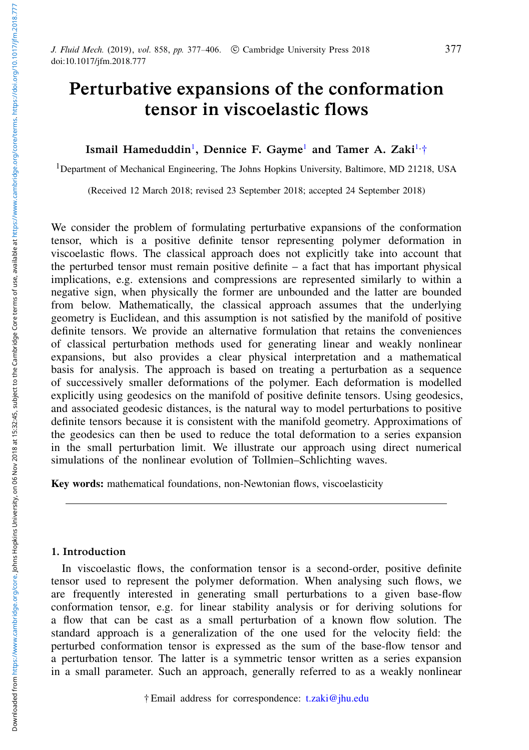# Perturbative expansions of the conformation tensor in viscoelastic flows

## Ismail [Hameduddin](http://orcid.org/0000-0002-8214-3405)<sup>[1](#page-0-0)</sup>, [Dennice F.](http://orcid.org/0000-0003-0330-415X) Gayme<sup>1</sup> and [Tamer A.](http://orcid.org/0000-0002-1979-7748) Zaki<sup>[1,](#page-0-0)</sup>[†](#page-0-1)

<span id="page-0-0"></span><sup>1</sup>Department of Mechanical Engineering, The Johns Hopkins University, Baltimore, MD 21218, USA

(Received 12 March 2018; revised 23 September 2018; accepted 24 September 2018)

We consider the problem of formulating perturbative expansions of the conformation tensor, which is a positive definite tensor representing polymer deformation in viscoelastic flows. The classical approach does not explicitly take into account that the perturbed tensor must remain positive definite – a fact that has important physical implications, e.g. extensions and compressions are represented similarly to within a negative sign, when physically the former are unbounded and the latter are bounded from below. Mathematically, the classical approach assumes that the underlying geometry is Euclidean, and this assumption is not satisfied by the manifold of positive definite tensors. We provide an alternative formulation that retains the conveniences of classical perturbation methods used for generating linear and weakly nonlinear expansions, but also provides a clear physical interpretation and a mathematical basis for analysis. The approach is based on treating a perturbation as a sequence of successively smaller deformations of the polymer. Each deformation is modelled explicitly using geodesics on the manifold of positive definite tensors. Using geodesics, and associated geodesic distances, is the natural way to model perturbations to positive definite tensors because it is consistent with the manifold geometry. Approximations of the geodesics can then be used to reduce the total deformation to a series expansion in the small perturbation limit. We illustrate our approach using direct numerical simulations of the nonlinear evolution of Tollmien–Schlichting waves.

Key words: mathematical foundations, non-Newtonian flows, viscoelasticity

## 1. Introduction

<span id="page-0-1"></span>In viscoelastic flows, the conformation tensor is a second-order, positive definite tensor used to represent the polymer deformation. When analysing such flows, we are frequently interested in generating small perturbations to a given base-flow conformation tensor, e.g. for linear stability analysis or for deriving solutions for a flow that can be cast as a small perturbation of a known flow solution. The standard approach is a generalization of the one used for the velocity field: the perturbed conformation tensor is expressed as the sum of the base-flow tensor and a perturbation tensor. The latter is a symmetric tensor written as a series expansion in a small parameter. Such an approach, generally referred to as a weakly nonlinear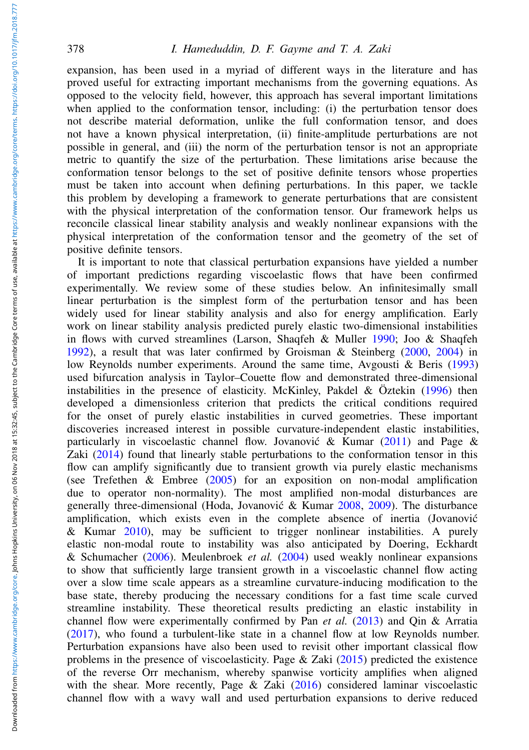expansion, has been used in a myriad of different ways in the literature and has proved useful for extracting important mechanisms from the governing equations. As opposed to the velocity field, however, this approach has several important limitations when applied to the conformation tensor, including: (i) the perturbation tensor does not describe material deformation, unlike the full conformation tensor, and does not have a known physical interpretation, (ii) finite-amplitude perturbations are not possible in general, and (iii) the norm of the perturbation tensor is not an appropriate metric to quantify the size of the perturbation. These limitations arise because the conformation tensor belongs to the set of positive definite tensors whose properties must be taken into account when defining perturbations. In this paper, we tackle this problem by developing a framework to generate perturbations that are consistent with the physical interpretation of the conformation tensor. Our framework helps us reconcile classical linear stability analysis and weakly nonlinear expansions with the physical interpretation of the conformation tensor and the geometry of the set of positive definite tensors.

It is important to note that classical perturbation expansions have yielded a number of important predictions regarding viscoelastic flows that have been confirmed experimentally. We review some of these studies below. An infinitesimally small linear perturbation is the simplest form of the perturbation tensor and has been widely used for linear stability analysis and also for energy amplification. Early work on linear stability analysis predicted purely elastic two-dimensional instabilities in flows with curved streamlines (Larson, Shaqfeh & Muller [1990;](#page-29-0) Joo & Shaqfeh [1992\)](#page-29-1), a result that was later confirmed by Groisman & Steinberg [\(2000,](#page-28-0) [2004\)](#page-28-1) in low Reynolds number experiments. Around the same time, Avgousti & Beris [\(1993\)](#page-28-2) used bifurcation analysis in Taylor–Couette flow and demonstrated three-dimensional instabilities in the presence of elasticity. McKinley, Pakdel & Öztekin [\(1996\)](#page-29-2) then developed a dimensionless criterion that predicts the critical conditions required for the onset of purely elastic instabilities in curved geometries. These important discoveries increased interest in possible curvature-independent elastic instabilities, particularly in viscoelastic channel flow. Jovanović & Kumar ([2011\)](#page-29-3) and Page & Zaki [\(2014\)](#page-29-4) found that linearly stable perturbations to the conformation tensor in this flow can amplify significantly due to transient growth via purely elastic mechanisms (see Trefethen & Embree [\(2005\)](#page-29-5) for an exposition on non-modal amplification due to operator non-normality). The most amplified non-modal disturbances are generally three-dimensional (Hoda, Jovanovic & Kumar  $2008$ ,  $2009$ ). The disturbance amplification, which exists even in the complete absence of inertia (Jovanovic´ & Kumar [2010\)](#page-29-8), may be sufficient to trigger nonlinear instabilities. A purely elastic non-modal route to instability was also anticipated by Doering, Eckhardt & Schumacher [\(2006\)](#page-28-3). Meulenbroek *et al.* [\(2004\)](#page-29-9) used weakly nonlinear expansions to show that sufficiently large transient growth in a viscoelastic channel flow acting over a slow time scale appears as a streamline curvature-inducing modification to the base state, thereby producing the necessary conditions for a fast time scale curved streamline instability. These theoretical results predicting an elastic instability in channel flow were experimentally confirmed by Pan *et al.* [\(2013\)](#page-29-10) and Qin & Arratia [\(2017\)](#page-29-11), who found a turbulent-like state in a channel flow at low Reynolds number. Perturbation expansions have also been used to revisit other important classical flow problems in the presence of viscoelasticity. Page  $&$  Zaki [\(2015\)](#page-29-12) predicted the existence of the reverse Orr mechanism, whereby spanwise vorticity amplifies when aligned with the shear. More recently, Page & Zaki [\(2016\)](#page-29-13) considered laminar viscoelastic channel flow with a wavy wall and used perturbation expansions to derive reduced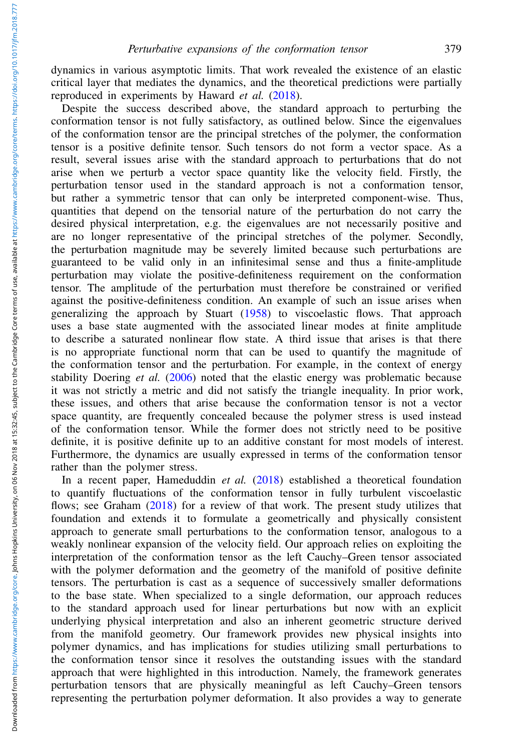dynamics in various asymptotic limits. That work revealed the existence of an elastic critical layer that mediates the dynamics, and the theoretical predictions were partially reproduced in experiments by Haward *et al.* [\(2018\)](#page-28-4).

Despite the success described above, the standard approach to perturbing the conformation tensor is not fully satisfactory, as outlined below. Since the eigenvalues of the conformation tensor are the principal stretches of the polymer, the conformation tensor is a positive definite tensor. Such tensors do not form a vector space. As a result, several issues arise with the standard approach to perturbations that do not arise when we perturb a vector space quantity like the velocity field. Firstly, the perturbation tensor used in the standard approach is not a conformation tensor, but rather a symmetric tensor that can only be interpreted component-wise. Thus, quantities that depend on the tensorial nature of the perturbation do not carry the desired physical interpretation, e.g. the eigenvalues are not necessarily positive and are no longer representative of the principal stretches of the polymer. Secondly, the perturbation magnitude may be severely limited because such perturbations are guaranteed to be valid only in an infinitesimal sense and thus a finite-amplitude perturbation may violate the positive-definiteness requirement on the conformation tensor. The amplitude of the perturbation must therefore be constrained or verified against the positive-definiteness condition. An example of such an issue arises when generalizing the approach by Stuart [\(1958\)](#page-29-14) to viscoelastic flows. That approach uses a base state augmented with the associated linear modes at finite amplitude to describe a saturated nonlinear flow state. A third issue that arises is that there is no appropriate functional norm that can be used to quantify the magnitude of the conformation tensor and the perturbation. For example, in the context of energy stability Doering *et al.* [\(2006\)](#page-28-3) noted that the elastic energy was problematic because it was not strictly a metric and did not satisfy the triangle inequality. In prior work, these issues, and others that arise because the conformation tensor is not a vector space quantity, are frequently concealed because the polymer stress is used instead of the conformation tensor. While the former does not strictly need to be positive definite, it is positive definite up to an additive constant for most models of interest. Furthermore, the dynamics are usually expressed in terms of the conformation tensor rather than the polymer stress.

In a recent paper, Hameduddin *et al.* [\(2018\)](#page-28-5) established a theoretical foundation to quantify fluctuations of the conformation tensor in fully turbulent viscoelastic flows; see Graham [\(2018\)](#page-28-6) for a review of that work. The present study utilizes that foundation and extends it to formulate a geometrically and physically consistent approach to generate small perturbations to the conformation tensor, analogous to a weakly nonlinear expansion of the velocity field. Our approach relies on exploiting the interpretation of the conformation tensor as the left Cauchy–Green tensor associated with the polymer deformation and the geometry of the manifold of positive definite tensors. The perturbation is cast as a sequence of successively smaller deformations to the base state. When specialized to a single deformation, our approach reduces to the standard approach used for linear perturbations but now with an explicit underlying physical interpretation and also an inherent geometric structure derived from the manifold geometry. Our framework provides new physical insights into polymer dynamics, and has implications for studies utilizing small perturbations to the conformation tensor since it resolves the outstanding issues with the standard approach that were highlighted in this introduction. Namely, the framework generates perturbation tensors that are physically meaningful as left Cauchy–Green tensors representing the perturbation polymer deformation. It also provides a way to generate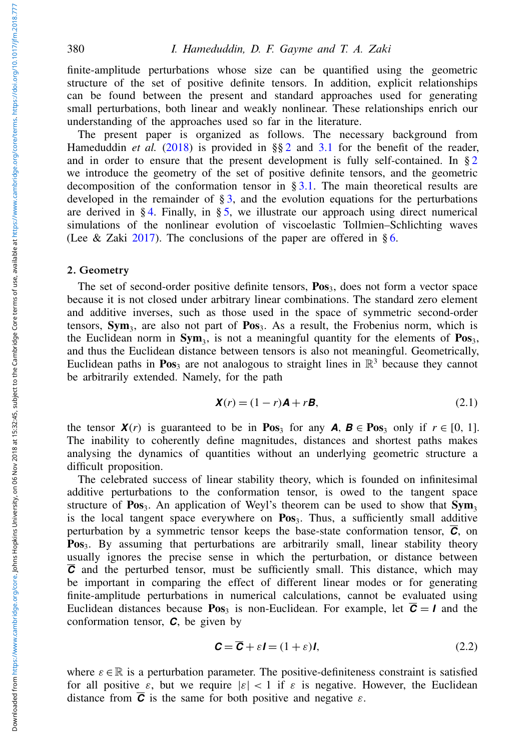finite-amplitude perturbations whose size can be quantified using the geometric structure of the set of positive definite tensors. In addition, explicit relationships can be found between the present and standard approaches used for generating small perturbations, both linear and weakly nonlinear. These relationships enrich our understanding of the approaches used so far in the literature.

The present paper is organized as follows. The necessary background from Hameduddin *et al.* [\(2018\)](#page-28-5) is provided in §§ [2](#page-3-0) and [3.1](#page-5-0) for the benefit of the reader, and in order to ensure that the present development is fully self-contained. In  $\S 2$  $\S 2$ we introduce the geometry of the set of positive definite tensors, and the geometric decomposition of the conformation tensor in  $\S 3.1$ . The main theoretical results are developed in the remainder of  $\S$ [3,](#page-5-1) and the evolution equations for the perturbations are derived in § [4.](#page-10-0) Finally, in § [5,](#page-14-0) we illustrate our approach using direct numerical simulations of the nonlinear evolution of viscoelastic Tollmien–Schlichting waves (Lee & Zaki  $2017$ ). The conclusions of the paper are offered in §[6.](#page-25-0)

## <span id="page-3-0"></span>2. Geometry

The set of second-order positive definite tensors,  $Pos_3$ , does not form a vector space because it is not closed under arbitrary linear combinations. The standard zero element and additive inverses, such as those used in the space of symmetric second-order tensors,  $Sym_3$ , are also not part of  $Pos_3$ . As a result, the Frobenius norm, which is the Euclidean norm in  $Sym_3$ , is not a meaningful quantity for the elements of  $Pos_3$ , and thus the Euclidean distance between tensors is also not meaningful. Geometrically, Euclidean paths in Pos<sub>3</sub> are not analogous to straight lines in  $\mathbb{R}^3$  because they cannot be arbitrarily extended. Namely, for the path

<span id="page-3-2"></span>
$$
\mathbf{X}(r) = (1 - r)\mathbf{A} + r\mathbf{B},\tag{2.1}
$$

the tensor  $X(r)$  is guaranteed to be in Pos<sub>3</sub> for any  $A, B \in \text{Pos}_3$  only if  $r \in [0, 1]$ . The inability to coherently define magnitudes, distances and shortest paths makes analysing the dynamics of quantities without an underlying geometric structure a difficult proposition.

The celebrated success of linear stability theory, which is founded on infinitesimal additive perturbations to the conformation tensor, is owed to the tangent space structure of Pos<sub>3</sub>. An application of Weyl's theorem can be used to show that  $Sym_3$ is the local tangent space everywhere on  $Pos_3$ . Thus, a sufficiently small additive perturbation by a symmetric tensor keeps the base-state conformation tensor,  $\overline{C}$ , on **Pos**<sub>3</sub>. By assuming that perturbations are arbitrarily small, linear stability theory usually ignores the precise sense in which the perturbation, or distance between  $\overline{c}$  and the perturbed tensor, must be sufficiently small. This distance, which may be important in comparing the effect of different linear modes or for generating finite-amplitude perturbations in numerical calculations, cannot be evaluated using Euclidean distances because **Pos**<sub>3</sub> is non-Euclidean. For example, let  $\overline{C} = I$  and the conformation tensor, *C*, be given by

<span id="page-3-1"></span>
$$
\mathbf{C} = \overline{\mathbf{C}} + \varepsilon \mathbf{I} = (1 + \varepsilon)\mathbf{I},\tag{2.2}
$$

where  $\varepsilon \in \mathbb{R}$  is a perturbation parameter. The positive-definiteness constraint is satisfied for all positive  $\varepsilon$ , but we require  $|\varepsilon| < 1$  if  $\varepsilon$  is negative. However, the Euclidean distance from  $\overline{c}$  is the same for both positive and negative  $\varepsilon$ .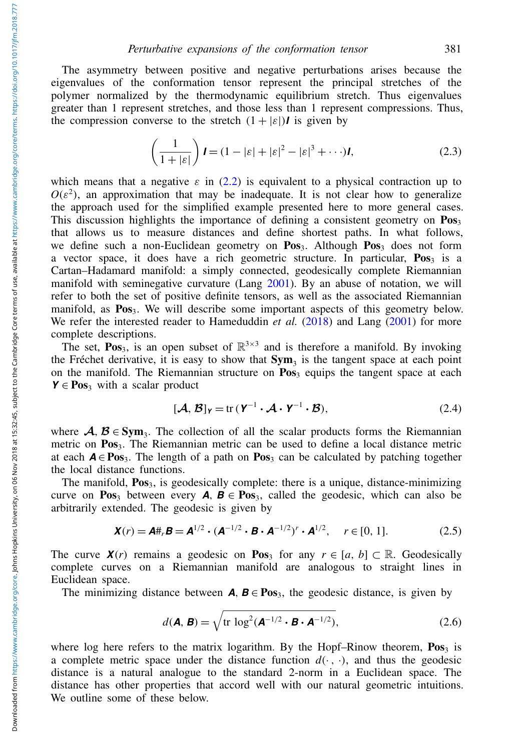$$
\left(\frac{1}{1+|\varepsilon|}\right)I = (1-|\varepsilon|+|\varepsilon|^2-|\varepsilon|^3+\cdots)I,\tag{2.3}
$$

which means that a negative  $\varepsilon$  in [\(2.2\)](#page-3-1) is equivalent to a physical contraction up to  $O(\varepsilon^2)$ , an approximation that may be inadequate. It is not clear how to generalize the approach used for the simplified example presented here to more general cases. This discussion highlights the importance of defining a consistent geometry on  $Pos_3$ that allows us to measure distances and define shortest paths. In what follows, we define such a non-Euclidean geometry on  $Pos_3$ . Although  $Pos_3$  does not form a vector space, it does have a rich geometric structure. In particular,  $Pos_3$  is a Cartan–Hadamard manifold: a simply connected, geodesically complete Riemannian manifold with seminegative curvature (Lang [2001\)](#page-29-16). By an abuse of notation, we will refer to both the set of positive definite tensors, as well as the associated Riemannian manifold, as  $Pos_3$ . We will describe some important aspects of this geometry below. We refer the interested reader to Hameduddin *et al.* [\(2018\)](#page-28-5) and Lang [\(2001\)](#page-29-16) for more complete descriptions.

The set,  $Pos_3$ , is an open subset of  $\mathbb{R}^{3\times 3}$  and is therefore a manifold. By invoking the Fréchet derivative, it is easy to show that  $Sym_3$  is the tangent space at each point on the manifold. The Riemannian structure on  $Pos_3$  equips the tangent space at each  $Y \in \text{Pos}_3$  with a scalar product

<span id="page-4-2"></span>
$$
[\mathcal{A}, \mathcal{B}]_Y = \text{tr}\,(\mathbf{Y}^{-1} \cdot \mathcal{A} \cdot \mathbf{Y}^{-1} \cdot \mathcal{B}),\tag{2.4}
$$

where  $A, B \in Sym_3$ . The collection of all the scalar products forms the Riemannian metric on Pos<sub>3</sub>. The Riemannian metric can be used to define a local distance metric at each  $A \in Pos_3$ . The length of a path on **Pos**<sub>3</sub> can be calculated by patching together the local distance functions.

The manifold,  $Pos_3$ , is geodesically complete: there is a unique, distance-minimizing curve on **Pos**<sub>3</sub> between every **A**,  $\vec{B} \in \text{Pos}_3$ , called the geodesic, which can also be arbitrarily extended. The geodesic is given by

<span id="page-4-0"></span>
$$
\mathbf{X}(r) = \mathbf{A} \mathbf{H}_r \mathbf{B} = \mathbf{A}^{1/2} \cdot (\mathbf{A}^{-1/2} \cdot \mathbf{B} \cdot \mathbf{A}^{-1/2})^r \cdot \mathbf{A}^{1/2}, \quad r \in [0, 1].
$$
 (2.5)

The curve  $X(r)$  remains a geodesic on Pos<sub>3</sub> for any  $r \in [a, b] \subset \mathbb{R}$ . Geodesically complete curves on a Riemannian manifold are analogous to straight lines in Euclidean space.

The minimizing distance between  $A, B \in Pos_3$ , the geodesic distance, is given by

<span id="page-4-1"></span>
$$
d(\mathbf{A}, \mathbf{B}) = \sqrt{\text{tr} \, \log^2(\mathbf{A}^{-1/2} \cdot \mathbf{B} \cdot \mathbf{A}^{-1/2})},\tag{2.6}
$$

where log here refers to the matrix logarithm. By the Hopf–Rinow theorem,  $Pos_3$  is a complete metric space under the distance function  $d(\cdot, \cdot)$ , and thus the geodesic distance is a natural analogue to the standard 2-norm in a Euclidean space. The distance has other properties that accord well with our natural geometric intuitions. We outline some of these below.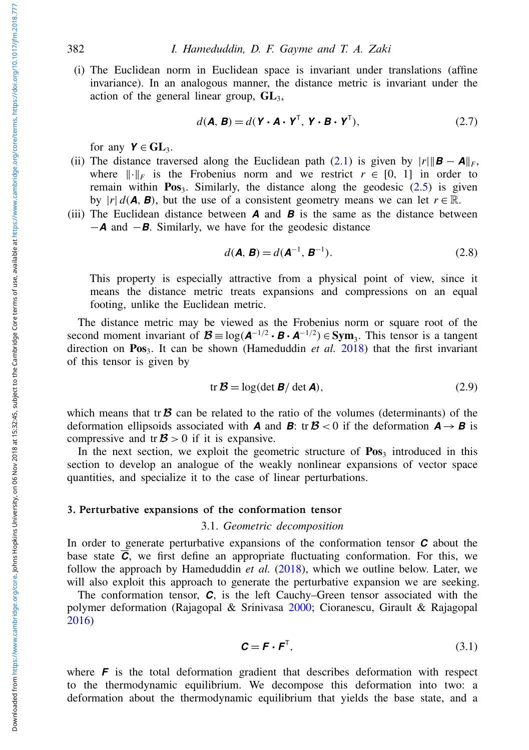(i) The Euclidean norm in Euclidean space is invariant under translations (affine invariance). In an analogous manner, the distance metric is invariant under the action of the general linear group,  $GL_3$ ,

$$
d(\mathbf{A}, \mathbf{B}) = d(\mathbf{Y} \cdot \mathbf{A} \cdot \mathbf{Y}^{\mathsf{T}}, \mathbf{Y} \cdot \mathbf{B} \cdot \mathbf{Y}^{\mathsf{T}}),
$$
(2.7)

for any  $Y \in GL_3$ .

- (ii) The distance traversed along the Euclidean path [\(2.1\)](#page-3-2) is given by  $|r| ||\mathbf{B} \mathbf{A}||_F$ , where  $\|\cdot\|_F$  is the Frobenius norm and we restrict  $r \in [0, 1]$  in order to remain within  $Pos_3$ . Similarly, the distance along the geodesic [\(2.5\)](#page-4-0) is given by  $|r| d(A, B)$ , but the use of a consistent geometry means we can let  $r \in \mathbb{R}$ .
- (iii) The Euclidean distance between *A* and *B* is the same as the distance between −*A* and −*B*. Similarly, we have for the geodesic distance

$$
d(\mathbf{A}, \mathbf{B}) = d(\mathbf{A}^{-1}, \mathbf{B}^{-1}).
$$
\n(2.8)

This property is especially attractive from a physical point of view, since it means the distance metric treats expansions and compressions on an equal footing, unlike the Euclidean metric.

The distance metric may be viewed as the Frobenius norm or square root of the second moment invariant of  $\mathcal{B} \equiv \log(\mathbf{A}^{-1/2} \cdot \mathbf{B} \cdot \mathbf{A}^{-1/2}) \in \text{Sym}_3$ . This tensor is a tangent direction on **Pos**<sub>3</sub>. It can be shown (Hameduddin *et al.* [2018\)](#page-28-5) that the first invariant of this tensor is given by

<span id="page-5-2"></span>
$$
\text{tr}\,\mathcal{B} = \log(\det \mathcal{B}/\det \mathcal{A}),\tag{2.9}
$$

which means that tr $\mathcal B$  can be related to the ratio of the volumes (determinants) of the deformation ellipsoids associated with *A* and *B*: tr  $\mathcal{B} < 0$  if the deformation  $A \rightarrow B$  is compressive and  $tr \mathcal{B} > 0$  if it is expansive.

In the next section, we exploit the geometric structure of  $Pos_3$  introduced in this section to develop an analogue of the weakly nonlinear expansions of vector space quantities, and specialize it to the case of linear perturbations.

## <span id="page-5-1"></span>3. Perturbative expansions of the conformation tensor

## <span id="page-5-0"></span>3.1. *Geometric decomposition*

In order to generate perturbative expansions of the conformation tensor *C* about the base state  $\overline{C}$ , we first define an appropriate fluctuating conformation. For this, we follow the approach by Hameduddin *et al.* [\(2018\)](#page-28-5), which we outline below. Later, we will also exploit this approach to generate the perturbative expansion we are seeking.

The conformation tensor, *C*, is the left Cauchy–Green tensor associated with the polymer deformation (Rajagopal & Srinivasa [2000;](#page-29-17) Cioranescu, Girault & Rajagopal [2016\)](#page-28-7)

$$
\mathbf{C} = \mathbf{F} \cdot \mathbf{F}^{\mathsf{T}},\tag{3.1}
$$

where  $\boldsymbol{F}$  is the total deformation gradient that describes deformation with respect to the thermodynamic equilibrium. We decompose this deformation into two: a deformation about the thermodynamic equilibrium that yields the base state, and a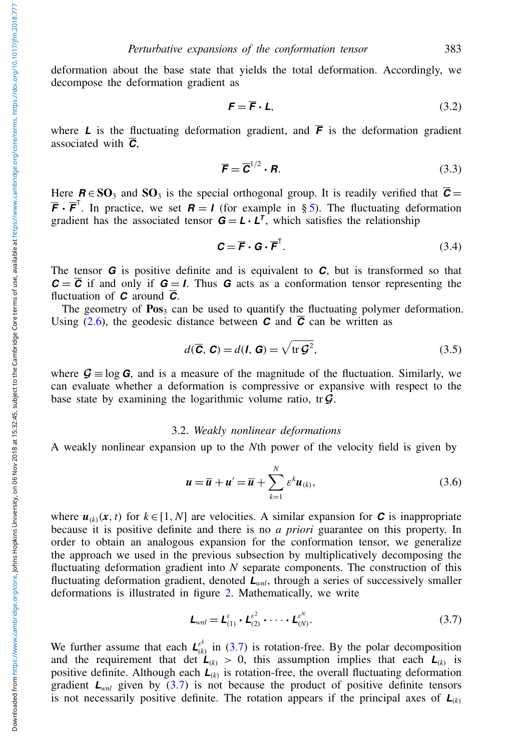deformation about the base state that yields the total deformation. Accordingly, we decompose the deformation gradient as

$$
\mathbf{F} = \overline{\mathbf{F}} \cdot \mathbf{L},\tag{3.2}
$$

where **L** is the fluctuating deformation gradient, and  $\overline{F}$  is the deformation gradient associated with *C*,

$$
\overline{F} = \overline{C}^{1/2} \cdot R. \tag{3.3}
$$

Here  $R \in SO_3$  and  $SO_3$  is the special orthogonal group. It is readily verified that  $\overline{C}$  =  $\overline{F} \cdot \overline{F}^T$ . In practice, we set  $\overline{R} = I$  (for example in § [5\)](#page-14-0). The fluctuating deformation gradient has the associated tensor  $G = L \cdot L^T$ , which satisfies the relationship

<span id="page-6-2"></span>
$$
\mathbf{C} = \overline{\mathbf{F}} \cdot \mathbf{G} \cdot \overline{\mathbf{F}}^{\mathrm{T}}.\tag{3.4}
$$

The tensor *G* is positive definite and is equivalent to *C*, but is transformed so that  $C = \overline{C}$  if and only if  $G = I$ . Thus *G* acts as a conformation tensor representing the fluctuation of  $C$  around  $\overline{C}$ .

The geometry of  $Pos_3$  can be used to quantify the fluctuating polymer deformation. Using  $(2.6)$ , the geodesic distance between **C** and  $\overline{C}$  can be written as

$$
d(\overline{\mathbf{C}}, \mathbf{C}) = d(\mathbf{I}, \mathbf{G}) = \sqrt{\text{tr}\,\mathbf{G}^2},\tag{3.5}
$$

where  $\mathcal{G} \equiv \log \mathbf{G}$ , and is a measure of the magnitude of the fluctuation. Similarly, we can evaluate whether a deformation is compressive or expansive with respect to the base state by examining the logarithmic volume ratio, tr $\mathcal{G}$ .

## <span id="page-6-3"></span>3.2. *Weakly nonlinear deformations*

A weakly nonlinear expansion up to the *N*th power of the velocity field is given by

<span id="page-6-1"></span>
$$
\mathbf{u} = \overline{\mathbf{u}} + \mathbf{u}' = \overline{\mathbf{u}} + \sum_{k=1}^{N} \varepsilon^{k} \mathbf{u}_{(k)},
$$
\n(3.6)

where  $u_{(k)}(x, t)$  for  $k \in [1, N]$  are velocities. A similar expansion for *C* is inappropriate because it is positive definite and there is no *a priori* guarantee on this property. In order to obtain an analogous expansion for the conformation tensor, we generalize the approach we used in the previous subsection by multiplicatively decomposing the fluctuating deformation gradient into *N* separate components. The construction of this fluctuating deformation gradient, denoted  $\vec{L}_{wnl}$ , through a series of successively smaller deformations is illustrated in figure [2.](#page-7-0) Mathematically, we write

<span id="page-6-0"></span>
$$
\mathbf{L}_{\text{wall}} = \mathbf{L}_{(1)}^{\varepsilon} \cdot \mathbf{L}_{(2)}^{\varepsilon^2} \cdot \dots \cdot \mathbf{L}_{(N)}^{\varepsilon^N}.
$$
\n(3.7)

We further assume that each  $\mathbf{L}_{ik}^{\varepsilon^k}$  $\int_{(k)}^{\varepsilon^*}$  in [\(3.7\)](#page-6-0) is rotation-free. By the polar decomposition and the requirement that det  $\mathcal{L}_{(k)} > 0$ , this assumption implies that each  $\mathcal{L}_{(k)}$  is positive definite. Although each *L*(*k*) is rotation-free, the overall fluctuating deformation gradient  $L<sub>wall</sub>$  given by [\(3.7\)](#page-6-0) is not because the product of positive definite tensors is not necessarily positive definite. The rotation appears if the principal axes of  $L_{(k)}$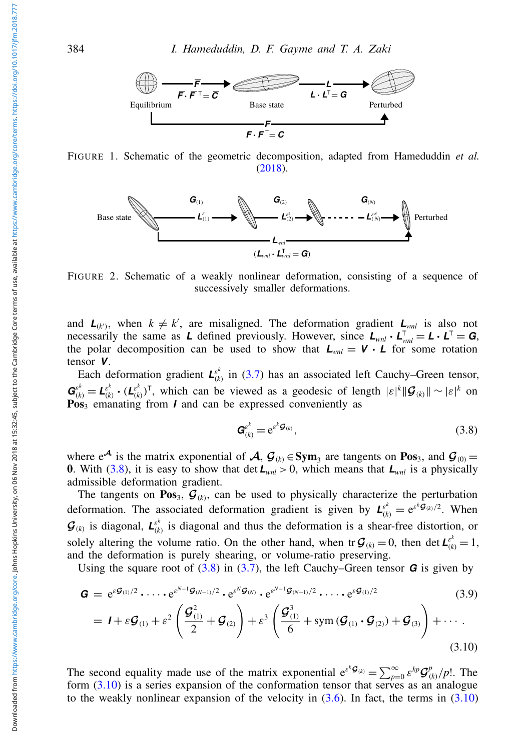

FIGURE 1. Schematic of the geometric decomposition, adapted from Hameduddin *et al.* [\(2018\)](#page-28-5).

<span id="page-7-0"></span>

FIGURE 2. Schematic of a weakly nonlinear deformation, consisting of a sequence of successively smaller deformations.

and  $L_{(k')}$ , when  $k \neq k'$ , are misaligned. The deformation gradient  $L_{\text{wall}}$  is also not necessarily the same as *L* defined previously. However, since  $L_{wnl} \cdot L_{wnl}^T = L \cdot L^T = G$ , the polar decomposition can be used to show that  $L_{wnl} = V \cdot L$  for some rotation tensor *V*.

Each deformation gradient  $\mathcal{L}_{ik}^{\varepsilon^k}$  $\int_{(k)}^{\varepsilon^*}$  in [\(3.7\)](#page-6-0) has an associated left Cauchy–Green tensor,  $\boldsymbol{G}^{\varepsilon^k}_{(k)} = \boldsymbol{L}^{\varepsilon^k}_{(k)}$  $\frac{\varepsilon^k}{(k)}$  •  $(\mathbf{L}_{(k)}^{\varepsilon^k}$  $(\epsilon_k^k)$ <sup>T</sup>, which can be viewed as a geodesic of length  $|\epsilon|^k ||\mathcal{G}_{(k)}|| \sim |\epsilon|^k$  on Pos<sub>3</sub> emanating from *I* and can be expressed conveniently as

<span id="page-7-1"></span>
$$
\mathbf{G}_{(k)}^{\varepsilon^k} = e^{\varepsilon^k \mathbf{G}_{(k)}},\tag{3.8}
$$

where  $e^{\mathcal{A}}$  is the matrix exponential of  $\mathcal{A}, \mathcal{G}_{(k)} \in \text{Sym}_3$  are tangents on Pos<sub>3</sub>, and  $\mathcal{G}_{(0)} =$ 0. With [\(3.8\)](#page-7-1), it is easy to show that det  $L_{wnl} > 0$ , which means that  $L_{wnl}$  is a physically admissible deformation gradient.

The tangents on  $Pos_3, G_{(k)}$ , can be used to physically characterize the perturbation deformation. The associated deformation gradient is given by  $L_{(k)}^{\varepsilon^k} = e^{\varepsilon^k \mathcal{G}_{(k)}/2}$ . When  $\mathcal{G}_{(k)}$  is diagonal,  $\mathcal{L}_{(k)}^{\varepsilon^k}$  $\epsilon_{(k)}^{\epsilon}$  is diagonal and thus the deformation is a shear-free distortion, or solely altering the volume ratio. On the other hand, when  $\text{tr } \mathcal{G}_{(k)} = 0$ , then det  $\mathcal{L}_{(k)}^{\varepsilon^k} = 1$ , and the deformation is purely shearing, or volume-ratio preserving.

<span id="page-7-3"></span>Using the square root of  $(3.8)$  in  $(3.7)$ , the left Cauchy–Green tensor **G** is given by

<span id="page-7-2"></span>
$$
\mathbf{G} = e^{\varepsilon \mathbf{G}_{(1)}/2} \cdot \dots \cdot e^{\varepsilon^{N-1} \mathbf{G}_{(N-1)}/2} \cdot e^{\varepsilon^{N} \mathbf{G}_{(N)}} \cdot e^{\varepsilon^{N-1} \mathbf{G}_{(N-1)}/2} \cdot \dots \cdot e^{\varepsilon \mathbf{G}_{(1)}/2}
$$
(3.9)  
=  $\mathbf{I} + \varepsilon \mathbf{G}_{(1)} + \varepsilon^2 \left( \frac{\mathbf{G}_{(1)}^2}{2} + \mathbf{G}_{(2)} \right) + \varepsilon^3 \left( \frac{\mathbf{G}_{(1)}^3}{6} + \text{sym} \left( \mathbf{G}_{(1)} \cdot \mathbf{G}_{(2)} \right) + \mathbf{G}_{(3)} \right) + \dots$ (3.10)

The second equality made use of the matrix exponential  $e^{i\epsilon \mathcal{G}_{(k)}} = \sum_{p=0}^{\infty} \epsilon^{kp} \mathcal{G}_{(k)}^p / p!$ . The form  $(3.10)$  is a series expansion of the conformation tensor that serves as an analogue to the weakly nonlinear expansion of the velocity in  $(3.6)$ . In fact, the terms in  $(3.10)$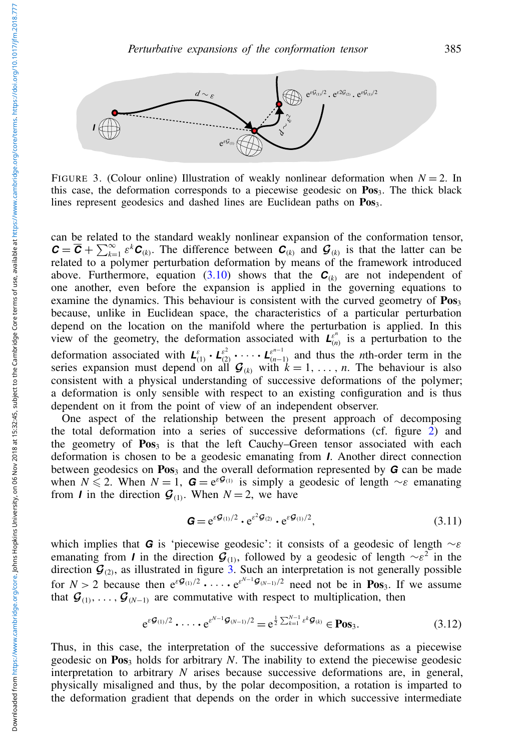<span id="page-8-0"></span>

FIGURE 3. (Colour online) Illustration of weakly nonlinear deformation when  $N = 2$ . In this case, the deformation corresponds to a piecewise geodesic on  $Pos_3$ . The thick black lines represent geodesics and dashed lines are Euclidean paths on  $Pos_3$ .

can be related to the standard weakly nonlinear expansion of the conformation tensor,  $C = \overline{C} + \sum_{k=1}^{\infty} \varepsilon^{k} C_{(k)}$ . The difference between  $C_{(k)}$  and  $G_{(k)}$  is that the latter can be related to a polymer perturbation deformation by means of the framework introduced above. Furthermore, equation  $(3.10)$  shows that the  $\mathbf{C}_{(k)}$  are not independent of one another, even before the expansion is applied in the governing equations to examine the dynamics. This behaviour is consistent with the curved geometry of  $Pos_3$ because, unlike in Euclidean space, the characteristics of a particular perturbation depend on the location on the manifold where the perturbation is applied. In this view of the geometry, the deformation associated with  $\mathcal{L}_{(n)}^{\varepsilon^n}$  is a perturbation to the (*n*) deformation associated with  $\mathcal{L}_{(1)}^{\varepsilon} \cdot \mathcal{L}_{(2)}^{\varepsilon^2}$  $\iota_{(2)}^{\varepsilon^2}$  · · · · · *L*<sub>(*n*-1)</sub> and thus the *n*th-order term in the series expansion must depend on all  $\mathcal{G}_{(k)}$  with  $k = 1, \ldots, n$ . The behaviour is also consistent with a physical understanding of successive deformations of the polymer; a deformation is only sensible with respect to an existing configuration and is thus dependent on it from the point of view of an independent observer.

One aspect of the relationship between the present approach of decomposing the total deformation into a series of successive deformations (cf. figure [2\)](#page-7-0) and the geometry of  $Pos_3$  is that the left Cauchy–Green tensor associated with each deformation is chosen to be a geodesic emanating from *I*. Another direct connection between geodesics on **Pos**<sub>3</sub> and the overall deformation represented by  $\boldsymbol{G}$  can be made when  $N \le 2$ . When  $N = 1$ ,  $G = e^{\varepsilon G_{(1)}}$  is simply a geodesic of length ∼ $\varepsilon$  emanating from *I* in the direction  $\mathcal{G}_{(1)}$ . When  $N = 2$ , we have

$$
\mathbf{G} = e^{\varepsilon \mathcal{G}_{(1)}/2} \cdot e^{\varepsilon^2 \mathcal{G}_{(2)}} \cdot e^{\varepsilon \mathcal{G}_{(1)}/2}, \tag{3.11}
$$

which implies that *G* is 'piecewise geodesic': it consists of a geodesic of length  $\sim \varepsilon$ emanating from *I* in the direction  $\mathcal{G}_{(1)}$ , followed by a geodesic of length  $\sim \varepsilon^2$  in the direction  $\mathcal{G}_{(2)}$ , as illustrated in figure [3.](#page-8-0) Such an interpretation is not generally possible for  $N > 2$  because then  $e^{\varepsilon \mathcal{G}_{(1)}/2} \cdots e^{\varepsilon^{N-1} \mathcal{G}_{(N-1)}/2}$  need not be in **Pos**<sub>3</sub>. If we assume that  $\mathcal{G}_{(1)}, \ldots, \mathcal{G}_{(N-1)}$  are commutative with respect to multiplication, then

$$
e^{\varepsilon \mathcal{G}_{(1)}/2} \cdot \dots \cdot e^{\varepsilon^{N-1} \mathcal{G}_{(N-1)}/2} = e^{\frac{1}{2} \sum_{k=1}^{N-1} \varepsilon^k \mathcal{G}_{(k)}} \in \text{Pos}_3. \tag{3.12}
$$

Thus, in this case, the interpretation of the successive deformations as a piecewise geodesic on  $Pos_3$  holds for arbitrary N. The inability to extend the piecewise geodesic interpretation to arbitrary *N* arises because successive deformations are, in general, physically misaligned and thus, by the polar decomposition, a rotation is imparted to the deformation gradient that depends on the order in which successive intermediate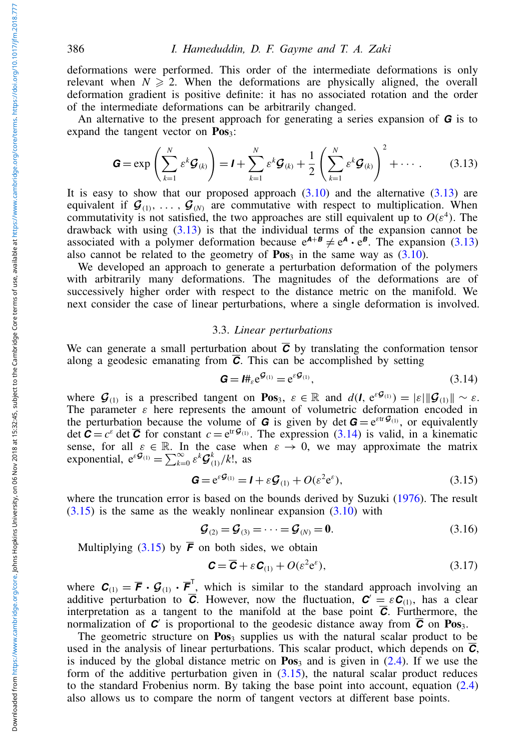deformations were performed. This order of the intermediate deformations is only relevant when  $N \ge 2$ . When the deformations are physically aligned, the overall deformation gradient is positive definite: it has no associated rotation and the order of the intermediate deformations can be arbitrarily changed.

An alternative to the present approach for generating a series expansion of *G* is to expand the tangent vector on  $Pos_3$ :

<span id="page-9-0"></span>
$$
\mathbf{G} = \exp\left(\sum_{k=1}^{N} \varepsilon^{k} \mathbf{G}_{(k)}\right) = \mathbf{I} + \sum_{k=1}^{N} \varepsilon^{k} \mathbf{G}_{(k)} + \frac{1}{2} \left(\sum_{k=1}^{N} \varepsilon^{k} \mathbf{G}_{(k)}\right)^{2} + \cdots
$$
 (3.13)

It is easy to show that our proposed approach  $(3.10)$  and the alternative  $(3.13)$  are equivalent if  $\mathcal{G}_{(1)}, \ldots, \mathcal{G}_{(N)}$  are commutative with respect to multiplication. When commutativity is not satisfied, the two approaches are still equivalent up to  $O(\varepsilon^4)$ . The drawback with using  $(3.13)$  is that the individual terms of the expansion cannot be associated with a polymer deformation because  $e^{A+B} \neq e^A \cdot e^B$ . The expansion [\(3.13\)](#page-9-0) also cannot be related to the geometry of  $Pos_3$  in the same way as  $(3.10)$ .

We developed an approach to generate a perturbation deformation of the polymers with arbitrarily many deformations. The magnitudes of the deformations are of successively higher order with respect to the distance metric on the manifold. We next consider the case of linear perturbations, where a single deformation is involved.

## 3.3. *Linear perturbations*

We can generate a small perturbation about  $\overline{C}$  by translating the conformation tensor along a geodesic emanating from  $\overline{C}$ . This can be accomplished by setting

<span id="page-9-1"></span>
$$
\mathbf{G} = \mathbf{H}_{\varepsilon} e^{\mathbf{G}_{(1)}} = e^{\varepsilon \mathbf{G}_{(1)}},\tag{3.14}
$$

where  $\mathcal{G}_{(1)}$  is a prescribed tangent on Pos<sub>3</sub>,  $\varepsilon \in \mathbb{R}$  and  $d(I, e^{\varepsilon \mathcal{G}_{(1)}}) = |\varepsilon| \|\mathcal{G}_{(1)}\| \sim \varepsilon$ . The parameter  $\varepsilon$  here represents the amount of volumetric deformation encoded in the perturbation because the volume of **G** is given by det  $G = e^{e^{tr} G_{(1)}}$ , or equivalently det  $\mathbf{C} = c^{\varepsilon}$  det  $\overline{\mathbf{C}}$  for constant  $c = e^{\text{tr}\mathbf{G}_{(1)}}$ . The expression [\(3.14\)](#page-9-1) is valid, in a kinematic sense, for all  $\varepsilon \in \mathbb{R}$ . In the case when  $\varepsilon \to 0$ , we may approximate the matrix exponential,  $e^{\varepsilon \mathcal{G}_{(1)}} = \sum_{k=0}^{\infty} \varepsilon^{k} \mathcal{G}_{(1)}^{k}/k!$ , as

<span id="page-9-2"></span>
$$
\mathbf{G} = e^{\varepsilon \mathcal{G}_{(1)}} = \mathbf{I} + \varepsilon \mathcal{G}_{(1)} + O(\varepsilon^2 e^{\varepsilon}),
$$
(3.15)

where the truncation error is based on the bounds derived by Suzuki [\(1976\)](#page-29-18). The result  $(3.15)$  is the same as the weakly nonlinear expansion  $(3.10)$  with

$$
\mathcal{G}_{(2)} = \mathcal{G}_{(3)} = \cdots = \mathcal{G}_{(N)} = 0.
$$
\n(3.16)

Multiplying  $(3.15)$  by  $\overline{F}$  on both sides, we obtain

$$
\mathbf{C} = \overline{\mathbf{C}} + \varepsilon \mathbf{C}_{(1)} + O(\varepsilon^2 e^{\varepsilon}), \tag{3.17}
$$

where  $\mathbf{C}_{(1)} = \mathbf{F} \cdot \mathbf{G}_{(1)} \cdot \mathbf{F}^{\mathsf{T}}$ , which is similar to the standard approach involving an additive perturbation to  $\overline{C}$ . However, now the fluctuation,  $C' = \varepsilon C_{(1)}$ , has a clear interpretation as a tangent to the manifold at the base point  $\overline{C}$ . Furthermore, the normalization of  $C'$  is proportional to the geodesic distance away from  $\overline{C}$  on Pos<sub>3</sub>.

The geometric structure on  $Pos_3$  supplies us with the natural scalar product to be used in the analysis of linear perturbations. This scalar product, which depends on  $\overline{C}$ , is induced by the global distance metric on **Pos**<sub>3</sub> and is given in  $(2.4)$ . If we use the form of the additive perturbation given in  $(3.15)$ , the natural scalar product reduces to the standard Frobenius norm. By taking the base point into account, equation  $(2.4)$ also allows us to compare the norm of tangent vectors at different base points.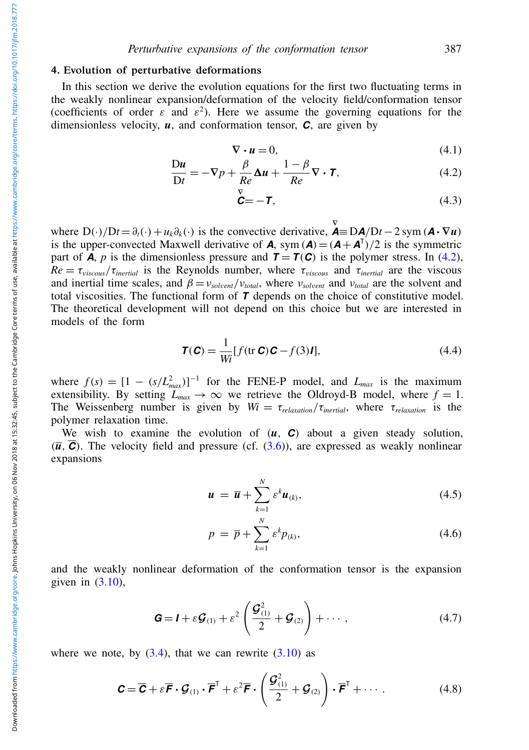## <span id="page-10-0"></span>4. Evolution of perturbative deformations

In this section we derive the evolution equations for the first two fluctuating terms in the weakly nonlinear expansion/deformation of the velocity field/conformation tensor (coefficients of order  $\varepsilon$  and  $\varepsilon^2$ ). Here we assume the governing equations for the dimensionless velocity,  $\boldsymbol{u}$ , and conformation tensor,  $\boldsymbol{C}$ , are given by

$$
\nabla \cdot \mathbf{u} = 0,\tag{4.1}
$$

<span id="page-10-7"></span><span id="page-10-6"></span><span id="page-10-1"></span>
$$
\frac{\mathrm{D}u}{\mathrm{D}t} = -\nabla p + \frac{\beta}{Re} \Delta u + \frac{1-\beta}{Re} \nabla \cdot \mathbf{T},\tag{4.2}
$$

$$
\stackrel{\nabla}{\mathbf{C}} = -\mathbf{T},\tag{4.3}
$$

where  $D(\cdot)/Dt = \partial_t(\cdot) + u_k \partial_k(\cdot)$  is the convective derivative,  $\overline{A} = DA/Dt - 2$  sym ( $A \cdot \nabla u$ ) is the upper-convected Maxwell derivative of *A*, sym  $(A) = (A + A^{T})/2$  is the symmetric part of  $\vec{A}$ ,  $p$  is the dimensionless pressure and  $\vec{T} = \vec{T}(\vec{C})$  is the polymer stress. In [\(4.2\)](#page-10-1),  $Re = \tau_{viscous}/\tau_{inertial}$  is the Reynolds number, where  $\tau_{viscous}$  and  $\tau_{inertial}$  are the viscous and inertial time scales, and  $\beta = v_{solvent}/v_{total}$ , where  $v_{solvent}$  and  $v_{total}$  are the solvent and total viscosities. The functional form of *T* depends on the choice of constitutive model. The theoretical development will not depend on this choice but we are interested in models of the form

<span id="page-10-4"></span>
$$
\mathbf{T}(\mathbf{C}) = \frac{1}{Wi} [f(\text{tr }\mathbf{C})\mathbf{C} - f(3)\mathbf{I}],
$$
\n(4.4)

where  $f(s) = [1 - (s/L_{max}^2)]^{-1}$  for the FENE-P model, and  $L_{max}$  is the maximum extensibility. By setting  $L_{max} \rightarrow \infty$  we retrieve the Oldroyd-B model, where  $f = 1$ . The Weissenberg number is given by  $Wi = \tau_{relaxation}/\tau_{inertial}$ , where  $\tau_{relaxation}$  is the polymer relaxation time.

We wish to examine the evolution of  $(u, c)$  about a given steady solution,  $(\bar{u}, \bar{c})$ . The velocity field and pressure (cf. [\(3.6\)](#page-6-1)), are expressed as weakly nonlinear expansions

<span id="page-10-2"></span>
$$
\mathbf{u} = \overline{\mathbf{u}} + \sum_{k=1}^{N} \varepsilon^{k} \mathbf{u}_{(k)},
$$
\n(4.5)

<span id="page-10-3"></span>
$$
p = \bar{p} + \sum_{k=1}^{N} \varepsilon^{k} p_{(k)},
$$
\n(4.6)

and the weakly nonlinear deformation of the conformation tensor is the expansion given in  $(3.10)$ ,

$$
\mathbf{G} = \mathbf{I} + \varepsilon \mathbf{\mathcal{G}}_{(1)} + \varepsilon^2 \left( \frac{\mathbf{\mathcal{G}}_{(1)}^2}{2} + \mathbf{\mathcal{G}}_{(2)} \right) + \cdots, \tag{4.7}
$$

where we note, by  $(3.4)$ , that we can rewrite  $(3.10)$  as

<span id="page-10-5"></span>
$$
\mathbf{C} = \overline{\mathbf{C}} + \varepsilon \overline{\mathbf{F}} \cdot \mathbf{G}_{(1)} \cdot \overline{\mathbf{F}}^{\mathsf{T}} + \varepsilon^2 \overline{\mathbf{F}} \cdot \left( \frac{\mathbf{G}_{(1)}^2}{2} + \mathbf{G}_{(2)} \right) \cdot \overline{\mathbf{F}}^{\mathsf{T}} + \cdots
$$
 (4.8)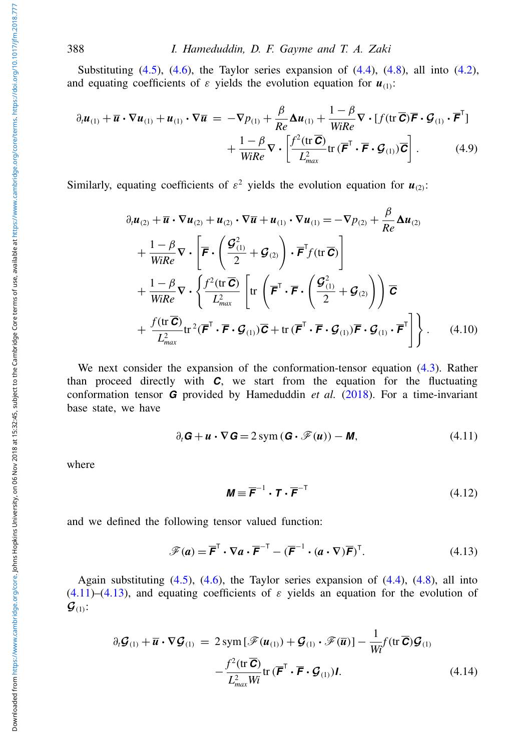Substituting  $(4.5)$ ,  $(4.6)$ , the Taylor series expansion of  $(4.4)$ ,  $(4.8)$ , all into  $(4.2)$ , and equating coefficients of  $\varepsilon$  yields the evolution equation for  $u_{(1)}$ :

<span id="page-11-3"></span>
$$
\partial_{t} \boldsymbol{u}_{(1)} + \overline{\boldsymbol{u}} \cdot \nabla \boldsymbol{u}_{(1)} + \boldsymbol{u}_{(1)} \cdot \nabla \overline{\boldsymbol{u}} = -\nabla p_{(1)} + \frac{\beta}{Re} \Delta \boldsymbol{u}_{(1)} + \frac{1-\beta}{WiRe} \nabla \cdot [f(\text{tr}\, \overline{\boldsymbol{C}}) \overline{\boldsymbol{F}} \cdot \mathcal{G}_{(1)} \cdot \overline{\boldsymbol{F}}^{T}] + \frac{1-\beta}{WiRe} \nabla \cdot \left[ \frac{f^{2}(\text{tr}\, \overline{\boldsymbol{C}})}{L_{max}^{2}} \text{tr} \left( \overline{\boldsymbol{F}}^{T} \cdot \overline{\boldsymbol{F}} \cdot \mathcal{G}_{(1)} \right) \overline{\boldsymbol{C}} \right].
$$
\n(4.9)

Similarly, equating coefficients of  $\varepsilon^2$  yields the evolution equation for  $u_{(2)}$ :

<span id="page-11-4"></span>
$$
\partial_t \mathbf{u}_{(2)} + \overline{\mathbf{u}} \cdot \nabla \mathbf{u}_{(2)} + \mathbf{u}_{(2)} \cdot \nabla \overline{\mathbf{u}} + \mathbf{u}_{(1)} \cdot \nabla \mathbf{u}_{(1)} = -\nabla p_{(2)} + \frac{\beta}{Re} \Delta \mathbf{u}_{(2)} \n+ \frac{1-\beta}{WiRe} \nabla \cdot \left[ \overline{\mathbf{F}} \cdot \left( \frac{\mathcal{G}_{(1)}^2}{2} + \mathcal{G}_{(2)} \right) \cdot \overline{\mathbf{F}}^T f(\text{tr } \overline{\mathbf{C}}) \right] \n+ \frac{1-\beta}{WiRe} \nabla \cdot \left\{ \frac{f^2(\text{tr } \overline{\mathbf{C}})}{L_{max}^2} \left[ \text{tr} \left( \overline{\mathbf{F}}^T \cdot \overline{\mathbf{F}} \cdot \left( \frac{\mathcal{G}_{(1)}^2}{2} + \mathcal{G}_{(2)} \right) \right) \overline{\mathbf{C}} \right. \n+ \frac{f(\text{tr } \overline{\mathbf{C}})}{L_{max}^2} \text{tr}^2 (\overline{\mathbf{F}}^T \cdot \overline{\mathbf{F}} \cdot \mathcal{G}_{(1)}) \overline{\mathbf{C}} + \text{tr} (\overline{\mathbf{F}}^T \cdot \overline{\mathbf{F}} \cdot \mathcal{G}_{(1)}) \overline{\mathbf{F}} \cdot \mathcal{G}_{(1)} \cdot \overline{\mathbf{F}}^T \right] \bigg\}.
$$
\n(4.10)

We next consider the expansion of the conformation-tensor equation [\(4.3\)](#page-10-6). Rather than proceed directly with *C*, we start from the equation for the fluctuating conformation tensor *G* provided by Hameduddin *et al.* [\(2018\)](#page-28-5). For a time-invariant base state, we have

<span id="page-11-0"></span>
$$
\partial_t \mathbf{G} + \mathbf{u} \cdot \nabla \mathbf{G} = 2 \operatorname{sym} \left( \mathbf{G} \cdot \mathscr{F}(\mathbf{u}) \right) - \mathbf{M},\tag{4.11}
$$

where

$$
\mathbf{M} \equiv \overline{\mathbf{F}}^{-1} \cdot \mathbf{T} \cdot \overline{\mathbf{F}}^{-T} \tag{4.12}
$$

and we defined the following tensor valued function:

<span id="page-11-1"></span>
$$
\mathscr{F}(a) = \overline{\boldsymbol{F}}^{\mathsf{T}} \cdot \nabla a \cdot \overline{\boldsymbol{F}}^{-\mathsf{T}} - (\overline{\boldsymbol{F}}^{-1} \cdot (a \cdot \nabla) \overline{\boldsymbol{F}})^{\mathsf{T}}.
$$
 (4.13)

Again substituting  $(4.5)$ ,  $(4.6)$ , the Taylor series expansion of  $(4.4)$ ,  $(4.8)$ , all into [\(4.11\)](#page-11-0)–[\(4.13\)](#page-11-1), and equating coefficients of  $\varepsilon$  yields an equation for the evolution of  ${\cal G}_{\rm (1)}$ :

<span id="page-11-2"></span>
$$
\partial_t \mathcal{G}_{(1)} + \overline{\boldsymbol{u}} \cdot \nabla \mathcal{G}_{(1)} = 2 \operatorname{sym} \left[ \mathcal{F}(\boldsymbol{u}_{(1)}) + \mathcal{G}_{(1)} \cdot \mathcal{F}(\overline{\boldsymbol{u}}) \right] - \frac{1}{W_t} f(\operatorname{tr} \overline{\boldsymbol{C}}) \mathcal{G}_{(1)} - \frac{f^2(\operatorname{tr} \overline{\boldsymbol{C}})}{L_{max}^2 W_t} \operatorname{tr} (\overline{\boldsymbol{F}}^{\mathsf{T}} \cdot \overline{\boldsymbol{F}} \cdot \mathcal{G}_{(1)}) \mathbf{I}.
$$
 (4.14)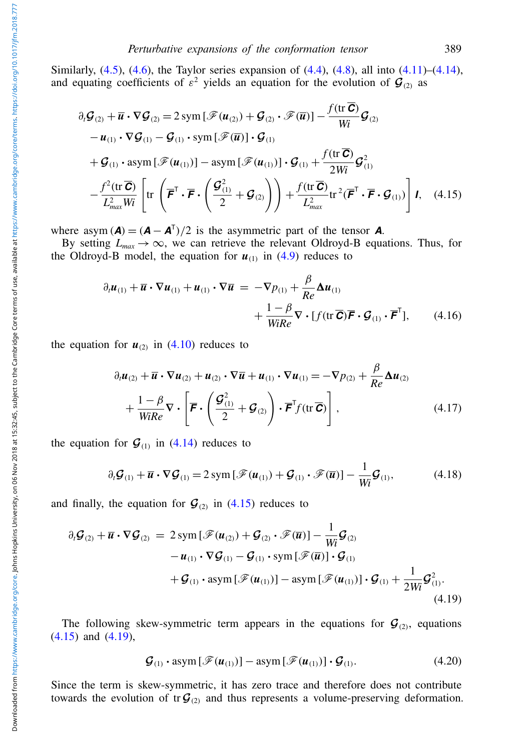Similarly,  $(4.5)$ ,  $(4.6)$ , the Taylor series expansion of  $(4.4)$ ,  $(4.8)$ , all into  $(4.11)$ – $(4.14)$ , and equating coefficients of  $\varepsilon^2$  yields an equation for the evolution of  $\mathcal{G}_{(2)}$  as

<span id="page-12-0"></span>
$$
\partial_t \mathcal{G}_{(2)} + \overline{\mathbf{u}} \cdot \nabla \mathcal{G}_{(2)} = 2 \operatorname{sym} \left[ \mathcal{F}(\mathbf{u}_{(2)}) + \mathcal{G}_{(2)} \cdot \mathcal{F}(\overline{\mathbf{u}}) \right] - \frac{f(\operatorname{tr} \mathbf{C})}{Wi} \mathcal{G}_{(2)} \n- \mathbf{u}_{(1)} \cdot \nabla \mathcal{G}_{(1)} - \mathcal{G}_{(1)} \cdot \operatorname{sym} \left[ \mathcal{F}(\overline{\mathbf{u}}) \right] \cdot \mathcal{G}_{(1)} \n+ \mathcal{G}_{(1)} \cdot \operatorname{asym} \left[ \mathcal{F}(\mathbf{u}_{(1)}) \right] - \operatorname{asym} \left[ \mathcal{F}(\mathbf{u}_{(1)}) \right] \cdot \mathcal{G}_{(1)} + \frac{f(\operatorname{tr} \overline{\mathbf{C}})}{2Wi} \mathcal{G}_{(1)}^2 \n- \frac{f^2(\operatorname{tr} \overline{\mathbf{C}})}{L_{max}^2 Wi} \left[ \operatorname{tr} \left( \overline{\mathbf{F}}^{\mathsf{T}} \cdot \overline{\mathbf{F}} \cdot \left( \frac{\mathcal{G}_{(1)}^2}{2} + \mathcal{G}_{(2)} \right) \right) + \frac{f(\operatorname{tr} \overline{\mathbf{C}})}{L_{max}^2} \operatorname{tr}^2(\overline{\mathbf{F}}^{\mathsf{T}} \cdot \overline{\mathbf{F}} \cdot \mathcal{G}_{(1)}) \right] \mathbf{I}, \quad (4.15)
$$

where asym  $(A) = (A - A^{T})/2$  is the asymmetric part of the tensor **A**.

By setting  $L_{max} \rightarrow \infty$ , we can retrieve the relevant Oldroyd-B equations. Thus, for the Oldroyd-B model, the equation for  $u_{(1)}$  in  $(4.9)$  reduces to

$$
\partial_t \boldsymbol{u}_{(1)} + \overline{\boldsymbol{u}} \cdot \nabla \boldsymbol{u}_{(1)} + \boldsymbol{u}_{(1)} \cdot \nabla \overline{\boldsymbol{u}} = -\nabla p_{(1)} + \frac{\beta}{Re} \Delta \boldsymbol{u}_{(1)} + \frac{1 - \beta}{WiRe} \nabla \cdot [f(\text{tr } \overline{\boldsymbol{C}}) \overline{\boldsymbol{F}} \cdot \mathcal{G}_{(1)} \cdot \overline{\boldsymbol{F}}^{\mathsf{T}}], \qquad (4.16)
$$

the equation for  $u_{(2)}$  in  $(4.10)$  reduces to

$$
\partial_t \boldsymbol{u}_{(2)} + \overline{\boldsymbol{u}} \cdot \nabla \boldsymbol{u}_{(2)} + \boldsymbol{u}_{(2)} \cdot \nabla \overline{\boldsymbol{u}} + \boldsymbol{u}_{(1)} \cdot \nabla \boldsymbol{u}_{(1)} = -\nabla p_{(2)} + \frac{\beta}{Re} \Delta \boldsymbol{u}_{(2)}
$$
  
+ 
$$
\frac{1-\beta}{WiRe} \nabla \cdot \left[ \overline{\boldsymbol{F}} \cdot \left( \frac{\mathcal{G}_{(1)}^2}{2} + \mathcal{G}_{(2)} \right) \cdot \overline{\boldsymbol{F}}^T f(\text{tr } \overline{\boldsymbol{C}}) \right],
$$
 (4.17)

the equation for  $\mathcal{G}_{(1)}$  in [\(4.14\)](#page-11-2) reduces to

$$
\partial_t \mathcal{G}_{(1)} + \overline{\boldsymbol{u}} \cdot \nabla \mathcal{G}_{(1)} = 2 \operatorname{sym} \left[ \mathcal{F}(\boldsymbol{u}_{(1)}) + \mathcal{G}_{(1)} \cdot \mathcal{F}(\overline{\boldsymbol{u}}) \right] - \frac{1}{Wi} \mathcal{G}_{(1)},
$$
(4.18)

and finally, the equation for  $\mathcal{G}_{(2)}$  in [\(4.15\)](#page-12-0) reduces to

<span id="page-12-1"></span>
$$
\partial_t \mathcal{G}_{(2)} + \overline{\boldsymbol{u}} \cdot \nabla \mathcal{G}_{(2)} = 2 \operatorname{sym} \left[ \mathcal{F}(\boldsymbol{u}_{(2)}) + \mathcal{G}_{(2)} \cdot \mathcal{F}(\overline{\boldsymbol{u}}) \right] - \frac{1}{Wi} \mathcal{G}_{(2)} \n- \boldsymbol{u}_{(1)} \cdot \nabla \mathcal{G}_{(1)} - \mathcal{G}_{(1)} \cdot \operatorname{sym} \left[ \mathcal{F}(\overline{\boldsymbol{u}}) \right] \cdot \mathcal{G}_{(1)} \n+ \mathcal{G}_{(1)} \cdot \operatorname{asym} \left[ \mathcal{F}(\boldsymbol{u}_{(1)}) \right] - \operatorname{asym} \left[ \mathcal{F}(\boldsymbol{u}_{(1)}) \right] \cdot \mathcal{G}_{(1)} + \frac{1}{2 Wi} \mathcal{G}_{(1)}^2.
$$
\n(4.19)

The following skew-symmetric term appears in the equations for  $\mathcal{G}_{(2)}$ , equations [\(4.15\)](#page-12-0) and [\(4.19\)](#page-12-1),

$$
\boldsymbol{\mathcal{G}}_{(1)}\cdot\operatorname{asym}\left[\mathscr{F}(\boldsymbol{u}_{(1)})\right]-\operatorname{asym}\left[\mathscr{F}(\boldsymbol{u}_{(1)})\right]\cdot\boldsymbol{\mathcal{G}}_{(1)}.\tag{4.20}
$$

Since the term is skew-symmetric, it has zero trace and therefore does not contribute towards the evolution of tr $\mathcal{G}_{(2)}$  and thus represents a volume-preserving deformation.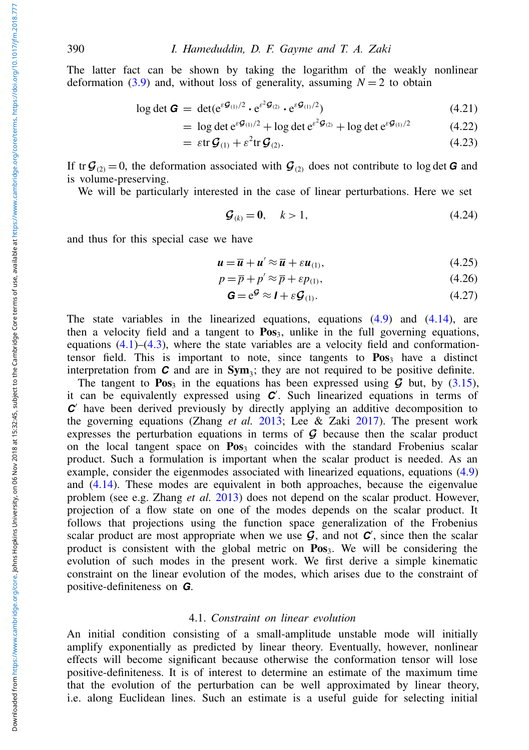The latter fact can be shown by taking the logarithm of the weakly nonlinear deformation [\(3.9\)](#page-7-3) and, without loss of generality, assuming  $N = 2$  to obtain

$$
\log \det \mathbf{G} = \det(e^{\varepsilon \mathbf{G}_{(1)}/2} \cdot e^{\varepsilon^2 \mathbf{G}_{(2)}} \cdot e^{\varepsilon \mathbf{G}_{(1)}/2}) \tag{4.21}
$$

<span id="page-13-1"></span>
$$
= \log \det e^{\varepsilon \mathcal{G}_{(1)}/2} + \log \det e^{\varepsilon^2 \mathcal{G}_{(2)}} + \log \det e^{\varepsilon \mathcal{G}_{(1)}/2}
$$
(4.22)

$$
= \varepsilon \operatorname{tr} \mathcal{G}_{(1)} + \varepsilon^2 \operatorname{tr} \mathcal{G}_{(2)}.
$$
\n(4.23)

If tr $\mathcal{G}_{(2)} = 0$ , the deformation associated with  $\mathcal{G}_{(2)}$  does not contribute to log det *G* and is volume-preserving.

We will be particularly interested in the case of linear perturbations. Here we set

$$
\mathcal{G}_{(k)} = \mathbf{0}, \quad k > 1,\tag{4.24}
$$

and thus for this special case we have

$$
\mathbf{u} = \overline{\mathbf{u}} + \mathbf{u}' \approx \overline{\mathbf{u}} + \varepsilon \mathbf{u}_{(1)},\tag{4.25}
$$

$$
p = \overline{p} + p' \approx \overline{p} + \varepsilon p_{(1)},\tag{4.26}
$$

$$
\mathbf{G} = e^{\mathbf{G}} \approx \mathbf{I} + \varepsilon \mathbf{\mathcal{G}}_{(1)}.
$$
 (4.27)

The state variables in the linearized equations, equations  $(4.9)$  and  $(4.14)$ , are then a velocity field and a tangent to  $Pos_3$ , unlike in the full governing equations, equations  $(4.1)$ – $(4.3)$ , where the state variables are a velocity field and conformationtensor field. This is important to note, since tangents to  $Pos_3$  have a distinct interpretation from  $C$  and are in  $Sym_3$ ; they are not required to be positive definite.

The tangent to  $Pos_3$  in the equations has been expressed using  $\mathcal G$  but, by [\(3.15\)](#page-9-2), it can be equivalently expressed using  $C$ . Such linearized equations in terms of C have been derived previously by directly applying an additive decomposition to the governing equations (Zhang *et al.* [2013;](#page-29-19) Lee & Zaki [2017\)](#page-29-15). The present work expresses the perturbation equations in terms of  $G$  because then the scalar product on the local tangent space on  $Pos_3$  coincides with the standard Frobenius scalar product. Such a formulation is important when the scalar product is needed. As an example, consider the eigenmodes associated with linearized equations, equations [\(4.9\)](#page-11-3) and  $(4.14)$ . These modes are equivalent in both approaches, because the eigenvalue problem (see e.g. Zhang *et al.* [2013\)](#page-29-19) does not depend on the scalar product. However, projection of a flow state on one of the modes depends on the scalar product. It follows that projections using the function space generalization of the Frobenius scalar product are most appropriate when we use  $G$ , and not  $C'$ , since then the scalar product is consistent with the global metric on  $Pos_3$ . We will be considering the evolution of such modes in the present work. We first derive a simple kinematic constraint on the linear evolution of the modes, which arises due to the constraint of positive-definiteness on *G*.

## <span id="page-13-0"></span>4.1. *Constraint on linear evolution*

An initial condition consisting of a small-amplitude unstable mode will initially amplify exponentially as predicted by linear theory. Eventually, however, nonlinear effects will become significant because otherwise the conformation tensor will lose positive-definiteness. It is of interest to determine an estimate of the maximum time that the evolution of the perturbation can be well approximated by linear theory, i.e. along Euclidean lines. Such an estimate is a useful guide for selecting initial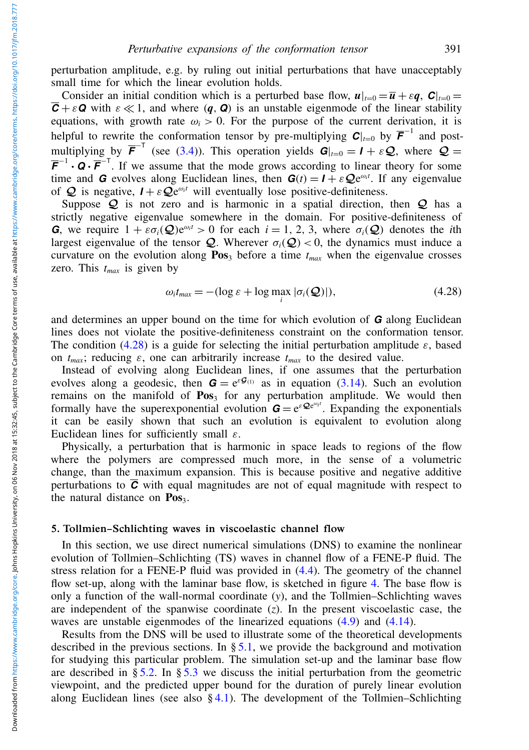perturbation amplitude, e.g. by ruling out initial perturbations that have unacceptably small time for which the linear evolution holds.

Consider an initial condition which is a perturbed base flow,  $u|_{t=0} = \overline{u} + \varepsilon q$ ,  $C|_{t=0} =$  $\overline{C}$  +  $\epsilon$ **Q** with  $\epsilon \ll 1$ , and where (**q**, **Q**) is an unstable eigenmode of the linear stability equations, with growth rate  $\omega_i > 0$ . For the purpose of the current derivation, it is helpful to rewrite the conformation tensor by pre-multiplying  $C|_{t=0}$  by  $\overline{F}^{-1}$  and postmultiplying by  $\overline{F}^{-T}$  (see [\(3.4\)](#page-6-2)). This operation yields  $G|_{t=0} = I + \varepsilon Q$ , where  $Q =$  $\overline{F}^{-1} \cdot Q \cdot \overline{F}^{-T}$ . If we assume that the mode grows according to linear theory for some time and *G* evolves along Euclidean lines, then  $G(t) = I + \varepsilon \mathcal{Q}e^{\omega_i t}$ . If any eigenvalue of  $Q$  is negative,  $I + \varepsilon Q e^{\omega_i t}$  will eventually lose positive-definiteness.

Suppose  $\mathcal Q$  is not zero and is harmonic in a spatial direction, then  $\mathcal Q$  has a strictly negative eigenvalue somewhere in the domain. For positive-definiteness of *G*, we require  $1 + \varepsilon \sigma_i(Q) e^{\omega_i t} > 0$  for each  $i = 1, 2, 3$ , where  $\sigma_i(Q)$  denotes the *i*th largest eigenvalue of the tensor  $Q$ . Wherever  $\sigma_i(Q) < 0$ , the dynamics must induce a curvature on the evolution along  $\overline{Pos_3}$  before a time  $t_{max}$  when the eigenvalue crosses zero. This *tmax* is given by

<span id="page-14-1"></span>
$$
\omega_i t_{max} = -(\log \varepsilon + \log \max_i |\sigma_i(\mathcal{Q})|), \tag{4.28}
$$

and determines an upper bound on the time for which evolution of *G* along Euclidean lines does not violate the positive-definiteness constraint on the conformation tensor. The condition [\(4.28\)](#page-14-1) is a guide for selecting the initial perturbation amplitude  $\varepsilon$ , based on  $t_{max}$ ; reducing  $\varepsilon$ , one can arbitrarily increase  $t_{max}$  to the desired value.

Instead of evolving along Euclidean lines, if one assumes that the perturbation evolves along a geodesic, then  $G = e^{g \cdot G_{(1)}}$  as in equation [\(3.14\)](#page-9-1). Such an evolution remains on the manifold of  $Pos_3$  for any perturbation amplitude. We would then formally have the superexponential evolution  $G = e^{c \mathcal{Q} e^{\omega_i t}}$ . Expanding the exponentials it can be easily shown that such an evolution is equivalent to evolution along Euclidean lines for sufficiently small  $\varepsilon$ .

Physically, a perturbation that is harmonic in space leads to regions of the flow where the polymers are compressed much more, in the sense of a volumetric change, than the maximum expansion. This is because positive and negative additive perturbations to  $\overline{C}$  with equal magnitudes are not of equal magnitude with respect to the natural distance on  $Pos_3$ .

#### <span id="page-14-0"></span>5. Tollmien–Schlichting waves in viscoelastic channel flow

In this section, we use direct numerical simulations (DNS) to examine the nonlinear evolution of Tollmien–Schlichting (TS) waves in channel flow of a FENE-P fluid. The stress relation for a FENE-P fluid was provided in  $(4.4)$ . The geometry of the channel flow set-up, along with the laminar base flow, is sketched in figure [4.](#page-15-0) The base flow is only a function of the wall-normal coordinate (*y*), and the Tollmien–Schlichting waves are independent of the spanwise coordinate (*z*). In the present viscoelastic case, the waves are unstable eigenmodes of the linearized equations [\(4.9\)](#page-11-3) and [\(4.14\)](#page-11-2).

Results from the DNS will be used to illustrate some of the theoretical developments described in the previous sections. In  $\S 5.1$ , we provide the background and motivation for studying this particular problem. The simulation set-up and the laminar base flow are described in  $\S 5.2$ . In  $\S 5.3$  $\S 5.3$  we discuss the initial perturbation from the geometric viewpoint, and the predicted upper bound for the duration of purely linear evolution along Euclidean lines (see also  $\S 4.1$ ). The development of the Tollmien–Schlichting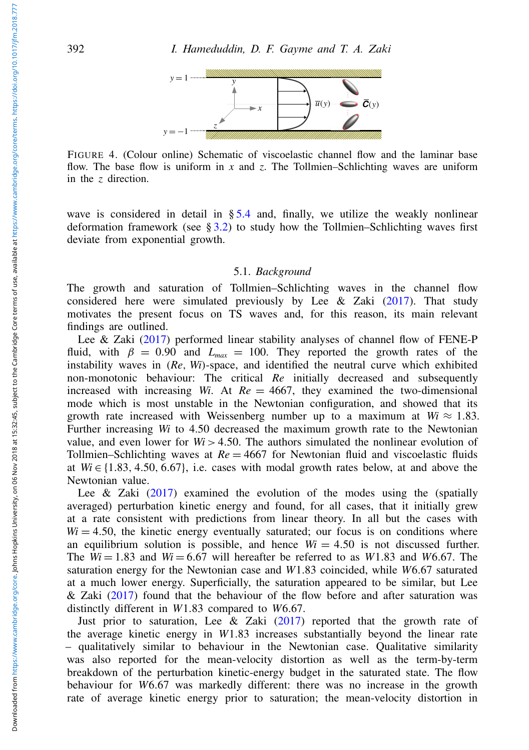<span id="page-15-0"></span>

FIGURE 4. (Colour online) Schematic of viscoelastic channel flow and the laminar base flow. The base flow is uniform in *x* and *z*. The Tollmien–Schlichting waves are uniform in the *z* direction.

wave is considered in detail in § [5.4](#page-20-0) and, finally, we utilize the weakly nonlinear deformation framework (see § [3.2\)](#page-6-3) to study how the Tollmien–Schlichting waves first deviate from exponential growth.

#### <span id="page-15-1"></span>5.1. *Background*

The growth and saturation of Tollmien–Schlichting waves in the channel flow considered here were simulated previously by Lee & Zaki  $(2017)$ . That study motivates the present focus on TS waves and, for this reason, its main relevant findings are outlined.

Lee & Zaki [\(2017\)](#page-29-15) performed linear stability analyses of channel flow of FENE-P fluid, with  $\beta = 0.90$  and  $L_{max} = 100$ . They reported the growth rates of the instability waves in (*Re*, *Wi*)-space, and identified the neutral curve which exhibited non-monotonic behaviour: The critical *Re* initially decreased and subsequently increased with increasing *Wi*. At  $Re = 4667$ , they examined the two-dimensional mode which is most unstable in the Newtonian configuration, and showed that its growth rate increased with Weissenberg number up to a maximum at  $Wi \approx 1.83$ . Further increasing *Wi* to 4.50 decreased the maximum growth rate to the Newtonian value, and even lower for  $Wi > 4.50$ . The authors simulated the nonlinear evolution of Tollmien–Schlichting waves at  $Re = 4667$  for Newtonian fluid and viscoelastic fluids at  $Wi \in \{1.83, 4.50, 6.67\}$ , i.e. cases with modal growth rates below, at and above the Newtonian value.

Lee & Zaki  $(2017)$  examined the evolution of the modes using the (spatially averaged) perturbation kinetic energy and found, for all cases, that it initially grew at a rate consistent with predictions from linear theory. In all but the cases with  $Wi = 4.50$ , the kinetic energy eventually saturated; our focus is on conditions where an equilibrium solution is possible, and hence  $Wi = 4.50$  is not discussed further. The  $\hat{W} = 1.83$  and  $Wi = 6.67$  will hereafter be referred to as  $W1.83$  and  $W6.67$ . The saturation energy for the Newtonian case and *W*1.83 coincided, while *W*6.67 saturated at a much lower energy. Superficially, the saturation appeared to be similar, but Lee  $&$  Zaki [\(2017\)](#page-29-15) found that the behaviour of the flow before and after saturation was distinctly different in *W*1.83 compared to *W*6.67.

Just prior to saturation, Lee & Zaki  $(2017)$  reported that the growth rate of the average kinetic energy in *W*1.83 increases substantially beyond the linear rate – qualitatively similar to behaviour in the Newtonian case. Qualitative similarity was also reported for the mean-velocity distortion as well as the term-by-term breakdown of the perturbation kinetic-energy budget in the saturated state. The flow behaviour for *W*6.67 was markedly different: there was no increase in the growth rate of average kinetic energy prior to saturation; the mean-velocity distortion in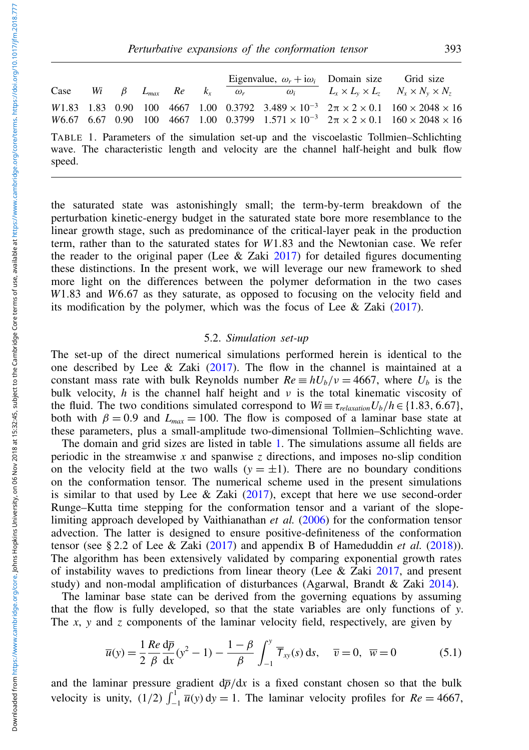<span id="page-16-1"></span>

|                                                                                                                                                                                            |  |  |  |  |  |  |  | Eigenvalue, $\omega_r + i\omega_i$ Domain size Grid size |                                                                                                                                |
|--------------------------------------------------------------------------------------------------------------------------------------------------------------------------------------------|--|--|--|--|--|--|--|----------------------------------------------------------|--------------------------------------------------------------------------------------------------------------------------------|
|                                                                                                                                                                                            |  |  |  |  |  |  |  |                                                          | Case Wi $\beta$ $L_{max}$ $Re$ $k_x$ $\omega_r$ $\omega_i$ $L_x \times L_y \times L_z$ $N_x \times N_y \times N_z$             |
|                                                                                                                                                                                            |  |  |  |  |  |  |  |                                                          | W1.83 1.83 0.90 100 4667 1.00 0.3792 3.489 $\times$ 10 <sup>-3</sup> 2 $\pi \times 2 \times 0.1$ 160 $\times$ 2048 $\times$ 16 |
|                                                                                                                                                                                            |  |  |  |  |  |  |  |                                                          | W6.67 6.67 0.90 100 4667 1.00 0.3799 $1.571 \times 10^{-3}$ $2\pi \times 2 \times 0.1$ 160 $\times$ 2048 $\times$ 16           |
| TABLE 1. Parameters of the simulation set-up and the viscoelastic Tollmien–Schlichting<br>wave. The characteristic length and velocity are the channel half-height and bulk flow<br>speed. |  |  |  |  |  |  |  |                                                          |                                                                                                                                |

the saturated state was astonishingly small; the term-by-term breakdown of the perturbation kinetic-energy budget in the saturated state bore more resemblance to the linear growth stage, such as predominance of the critical-layer peak in the production term, rather than to the saturated states for *W*1.83 and the Newtonian case. We refer the reader to the original paper (Lee  $&$  Zaki [2017\)](#page-29-15) for detailed figures documenting these distinctions. In the present work, we will leverage our new framework to shed more light on the differences between the polymer deformation in the two cases *W*1.83 and *W*6.67 as they saturate, as opposed to focusing on the velocity field and its modification by the polymer, which was the focus of Lee & Zaki  $(2017)$ .

## <span id="page-16-0"></span>5.2. *Simulation set-up*

The set-up of the direct numerical simulations performed herein is identical to the one described by Lee & Zaki [\(2017\)](#page-29-15). The flow in the channel is maintained at a constant mass rate with bulk Reynolds number  $Re \equiv hU_b/v = 4667$ , where  $U_b$  is the bulk velocity, *h* is the channel half height and  $\nu$  is the total kinematic viscosity of the fluid. The two conditions simulated correspond to  $Wi = \tau_{relaxation} U_b/h \in \{1.83, 6.67\}$ , both with  $\beta = 0.9$  and  $L_{max} = 100$ . The flow is composed of a laminar base state at these parameters, plus a small-amplitude two-dimensional Tollmien–Schlichting wave.

The domain and grid sizes are listed in table [1.](#page-16-1) The simulations assume all fields are periodic in the streamwise *x* and spanwise *z* directions, and imposes no-slip condition on the velocity field at the two walls  $(y = \pm 1)$ . There are no boundary conditions on the conformation tensor. The numerical scheme used in the present simulations is similar to that used by Lee & Zaki  $(2017)$ , except that here we use second-order Runge–Kutta time stepping for the conformation tensor and a variant of the slopelimiting approach developed by Vaithianathan *et al.* [\(2006\)](#page-29-20) for the conformation tensor advection. The latter is designed to ensure positive-definiteness of the conformation tensor (see  $\S 2.2$  of Lee & Zaki  $(2017)$  and appendix B of Hameduddin *et al.*  $(2018)$ ). The algorithm has been extensively validated by comparing exponential growth rates of instability waves to predictions from linear theory (Lee & Zaki  $2017$ , and present study) and non-modal amplification of disturbances (Agarwal, Brandt & Zaki [2014\)](#page-28-8).

The laminar base state can be derived from the governing equations by assuming that the flow is fully developed, so that the state variables are only functions of *y*. The *x*, *y* and *z* components of the laminar velocity field, respectively, are given by

$$
\overline{u}(y) = \frac{1}{2} \frac{Re}{\beta} \frac{d\overline{p}}{dx} (y^2 - 1) - \frac{1 - \beta}{\beta} \int_{-1}^{y} \overline{T}_{xy}(s) ds, \quad \overline{v} = 0, \ \overline{w} = 0 \tag{5.1}
$$

and the laminar pressure gradient  $d\bar{p}/dx$  is a fixed constant chosen so that the bulk velocity is unity,  $(1/2) \int_{-1}^{1} \overline{u}(y) dy = 1$ . The laminar velocity profiles for  $Re = 4667$ ,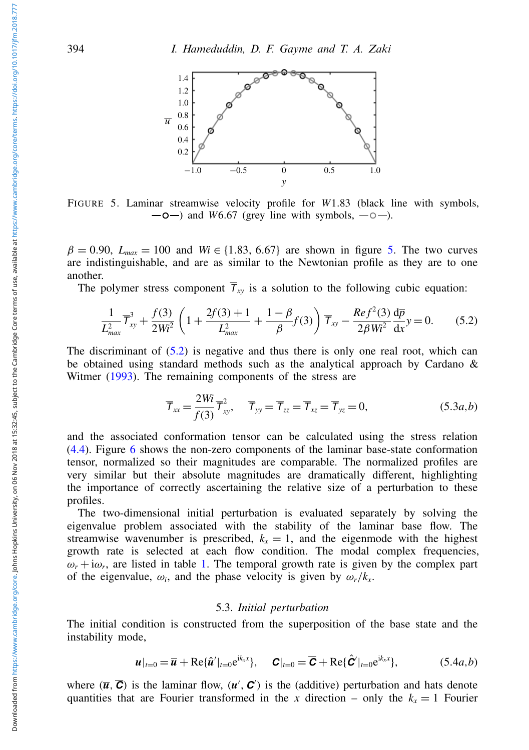<span id="page-17-1"></span>

FIGURE 5. Laminar streamwise velocity profile for *W*1.83 (black line with symbols,  $(-\circ -)$  and *W*6.67 (grey line with symbols,  $-\circ -$ ).

 $\beta = 0.90$ ,  $L_{max} = 100$  and  $Wi \in \{1.83, 6.67\}$  are shown in figure [5.](#page-17-1) The two curves are indistinguishable, and are as similar to the Newtonian profile as they are to one another.

The polymer stress component  $\overline{T}_{xy}$  is a solution to the following cubic equation:

<span id="page-17-2"></span>
$$
\frac{1}{L_{max}^2} \overline{T}_{xy}^3 + \frac{f(3)}{2W^2} \left( 1 + \frac{2f(3) + 1}{L_{max}^2} + \frac{1 - \beta}{\beta} f(3) \right) \overline{T}_{xy} - \frac{Re f^2(3)}{2\beta W^2} \frac{d\overline{p}}{dx} y = 0.
$$
 (5.2)

The discriminant of  $(5.2)$  is negative and thus there is only one real root, which can be obtained using standard methods such as the analytical approach by Cardano & Witmer [\(1993\)](#page-28-9). The remaining components of the stress are

$$
\overline{\mathcal{T}}_{xx} = \frac{2Wi}{f(3)} \overline{\mathcal{T}}_{xy}^2, \quad \overline{\mathcal{T}}_{yy} = \overline{\mathcal{T}}_{zz} = \overline{\mathcal{T}}_{xz} = \overline{\mathcal{T}}_{yz} = 0,
$$
\n(5.3*a*,*b*)

and the associated conformation tensor can be calculated using the stress relation [\(4.4\)](#page-10-4). Figure [6](#page-18-0) shows the non-zero components of the laminar base-state conformation tensor, normalized so their magnitudes are comparable. The normalized profiles are very similar but their absolute magnitudes are dramatically different, highlighting the importance of correctly ascertaining the relative size of a perturbation to these profiles.

The two-dimensional initial perturbation is evaluated separately by solving the eigenvalue problem associated with the stability of the laminar base flow. The streamwise wavenumber is prescribed,  $k<sub>x</sub> = 1$ , and the eigenmode with the highest growth rate is selected at each flow condition. The modal complex frequencies,  $\omega_r + i\omega_r$ , are listed in table [1.](#page-16-1) The temporal growth rate is given by the complex part of the eigenvalue,  $\omega_i$ , and the phase velocity is given by  $\omega_r/k_x$ .

#### <span id="page-17-0"></span>5.3. *Initial perturbation*

The initial condition is constructed from the superposition of the base state and the instability mode,

<span id="page-17-3"></span>
$$
\boldsymbol{u}|_{t=0} = \overline{\boldsymbol{u}} + \text{Re}\{\hat{\boldsymbol{u}}'|_{t=0}e^{ik_{x}x}\}, \quad \boldsymbol{C}|_{t=0} = \overline{\boldsymbol{C}} + \text{Re}\{\hat{\boldsymbol{C}}'|_{t=0}e^{ik_{x}x}\}, \quad (5.4a,b)
$$

where  $(\bar{u}, \bar{C})$  is the laminar flow,  $(u', C')$  is the (additive) perturbation and hats denote quantities that are Fourier transformed in the *x* direction – only the  $k_x = 1$  Fourier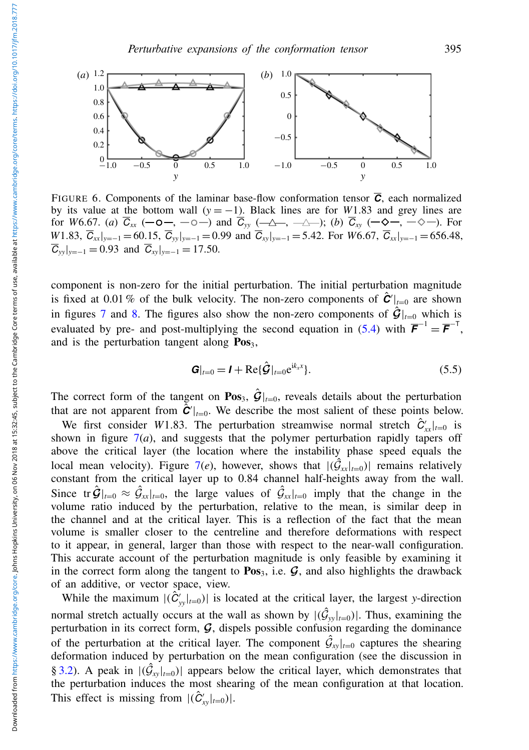<span id="page-18-0"></span>

FIGURE 6. Components of the laminar base-flow conformation tensor  $\overline{C}$ , each normalized by its value at the bottom wall  $(y = -1)$ . Black lines are for *W1.83* and grey lines are for *W*6.67. (*a*)  $C_{xx}$  (-0-, -0-) and  $C_{yy}$  (-4-, -4-); (*b*)  $C_{xy}$  (- $\diamond$ -, - $\diamond$ -). For *W*1.83,  $\overline{C}_{xx}|_{y=-1}$  = 60.15,  $\overline{C}_{yy}|_{y=-1}$  = 0.99 and  $\overline{C}_{xy}|_{y=-1}$  = 5.42. For *W*6.67,  $\overline{C}_{xx}|_{y=-1}$  = 656.48,  $\overline{C}_{yy}|_{y=-1} = 0.93$  and  $\overline{C}_{xy}|_{y=-1} = 17.50$ .

component is non-zero for the initial perturbation. The initial perturbation magnitude is fixed at 0.01 % of the bulk velocity. The non-zero components of  $\hat{\mathbf{C}}|_{t=0}$  are shown in figures [7](#page-19-0) and [8.](#page-20-1) The figures also show the non-zero components of  $\hat{G}|_{t=0}$  which is evaluated by pre- and post-multiplying the second equation in [\(5.4\)](#page-17-3) with  $\mathbf{F}^{-1} = \mathbf{F}^{-T}$ , and is the perturbation tangent along  $Pos<sub>3</sub>$ ,

$$
G|_{t=0} = I + \text{Re}\{\hat{G}|_{t=0}e^{ik_{x}x}\}.
$$
\n(5.5)

The correct form of the tangent on  $\text{Pos}_3$ ,  $\hat{G}|_{t=0}$ , reveals details about the perturbation that are not apparent from  $\tilde{C}'|_{t=0}$ . We describe the most salient of these points below.

We first consider *W*1.83. The perturbation streamwise normal stretch  $\hat{C}_{xx}|_{t=0}$  is shown in figure  $7(a)$  $7(a)$ , and suggests that the polymer perturbation rapidly tapers off above the critical layer (the location where the instability phase speed equals the local mean velocity). Figure [7\(](#page-19-0)*e*), however, shows that  $|(\hat{G}_{xx}|_{t=0})|$  remains relatively constant from the critical layer up to 0.84 channel half-heights away from the wall. Since tr $\hat{G}|_{t=0} \approx \hat{G}_{xx}|_{t=0}$ , the large values of  $\hat{G}_{xx}|_{t=0}$  imply that the change in the volume ratio induced by the perturbation, relative to the mean, is similar deep in the channel and at the critical layer. This is a reflection of the fact that the mean volume is smaller closer to the centreline and therefore deformations with respect to it appear, in general, larger than those with respect to the near-wall configuration. This accurate account of the perturbation magnitude is only feasible by examining it in the correct form along the tangent to  $Pos_3$ , i.e.  $G$ , and also highlights the drawback of an additive, or vector space, view.

While the maximum  $|(\hat{C}_{yy}|_{t=0})|$  is located at the critical layer, the largest *y*-direction normal stretch actually occurs at the wall as shown by  $|(\hat{G}_{yy}|_{t=0})|$ . Thus, examining the perturbation in its correct form,  $G$ , dispels possible confusion regarding the dominance of the perturbation at the critical layer. The component  $\hat{G}_{xy}|_{t=0}$  captures the shearing deformation induced by perturbation on the mean configuration (see the discussion in § [3.2\)](#page-6-3). A peak in  $|(\hat{G}_{xy}|_{t=0})|$  appears below the critical layer, which demonstrates that the perturbation induces the most shearing of the mean configuration at that location. This effect is missing from  $|(\hat{C}'_{xy}|_{t=0})|$ .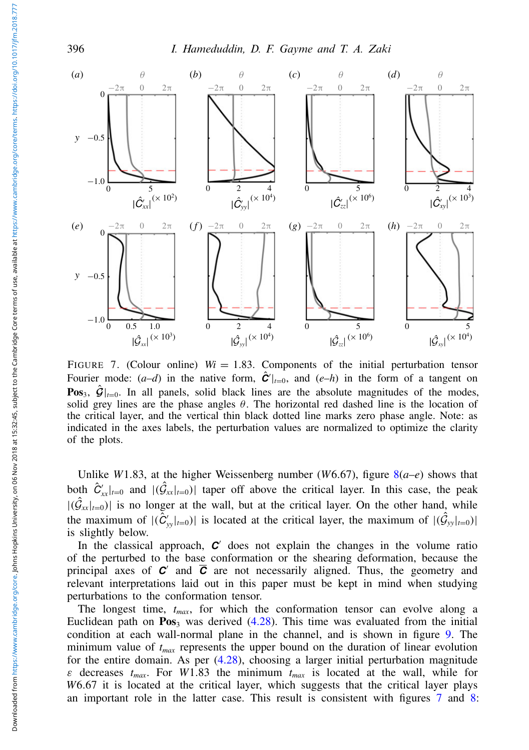<span id="page-19-0"></span>

FIGURE 7. (Colour online)  $Wi = 1.83$ . Components of the initial perturbation tensor Fourier mode:  $(a-d)$  in the native form,  $\hat{C}|_{t=0}$ , and  $(e-h)$  in the form of a tangent on **Pos**<sub>3</sub>,  $\hat{G}|_{t=0}$ . In all panels, solid black lines are the absolute magnitudes of the modes, solid grey lines are the phase angles  $\theta$ . The horizontal red dashed line is the location of the critical layer, and the vertical thin black dotted line marks zero phase angle. Note: as indicated in the axes labels, the perturbation values are normalized to optimize the clarity of the plots.

Unlike *W*1.83, at the higher Weissenberg number (*W*6.67), figure  $8(a-e)$  $8(a-e)$  shows that both  $\hat{C}_{xx}'|_{t=0}$  and  $|(\hat{G}_{xx}|_{t=0})|$  taper off above the critical layer. In this case, the peak  $|(\hat{G}_{xx}|_{t=0})|$  is no longer at the wall, but at the critical layer. On the other hand, while the maximum of  $|(\tilde{C}_{yy}|_{t=0})|$  is located at the critical layer, the maximum of  $|(\hat{C}_{yy}|_{t=0})|$ is slightly below.

In the classical approach,  $C'$  does not explain the changes in the volume ratio of the perturbed to the base conformation or the shearing deformation, because the principal axes of  $C'$  and  $\overline{C}$  are not necessarily aligned. Thus, the geometry and relevant interpretations laid out in this paper must be kept in mind when studying perturbations to the conformation tensor.

The longest time,  $t_{max}$ , for which the conformation tensor can evolve along a Euclidean path on  $Pos_3$  was derived [\(4.28\)](#page-14-1). This time was evaluated from the initial condition at each wall-normal plane in the channel, and is shown in figure [9.](#page-21-0) The minimum value of *tmax* represents the upper bound on the duration of linear evolution for the entire domain. As per [\(4.28\)](#page-14-1), choosing a larger initial perturbation magnitude  $\varepsilon$  decreases  $t_{max}$ . For *W*1.83 the minimum  $t_{max}$  is located at the wall, while for *W*6.67 it is located at the critical layer, which suggests that the critical layer plays an important role in the latter case. This result is consistent with figures [7](#page-19-0) and [8:](#page-20-1)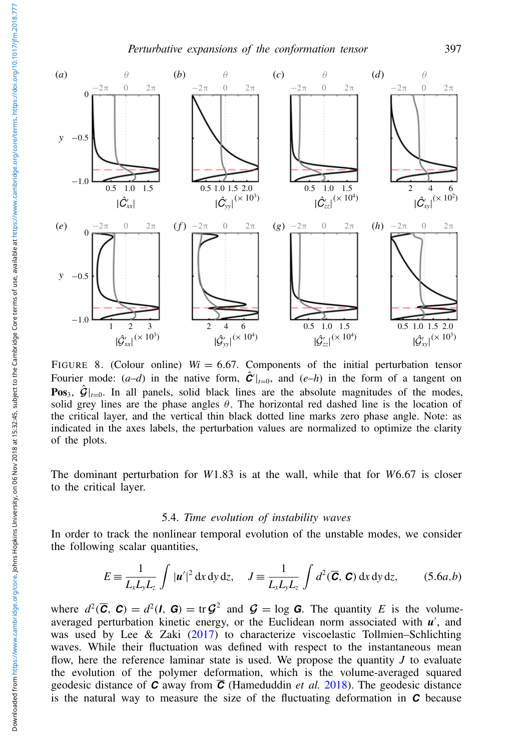<span id="page-20-1"></span>

FIGURE 8. (Colour online)  $Wi = 6.67$ . Components of the initial perturbation tensor Fourier mode:  $(a-d)$  in the native form,  $\hat{C}|_{t=0}$ , and  $(e-h)$  in the form of a tangent on **Pos**<sub>3</sub>,  $\hat{G}|_{t=0}$ . In all panels, solid black lines are the absolute magnitudes of the modes, solid grey lines are the phase angles  $\theta$ . The horizontal red dashed line is the location of the critical layer, and the vertical thin black dotted line marks zero phase angle. Note: as indicated in the axes labels, the perturbation values are normalized to optimize the clarity of the plots.

The dominant perturbation for *W*1.83 is at the wall, while that for *W*6.67 is closer to the critical layer.

#### <span id="page-20-0"></span>5.4. *Time evolution of instability waves*

In order to track the nonlinear temporal evolution of the unstable modes, we consider the following scalar quantities,

<span id="page-20-2"></span>
$$
E = \frac{1}{L_x L_y L_z} \int |\boldsymbol{u}'|^2 dx dy dz, \quad J = \frac{1}{L_x L_y L_z} \int d^2(\overline{\boldsymbol{C}}, \boldsymbol{C}) dx dy dz, \quad (5.6a, b)
$$

where  $d^2(\overline{C}, C) = d^2(I, G) = \text{tr} \mathcal{G}^2$  and  $\mathcal{G} = \log G$ . The quantity *E* is the volumeaveraged perturbation kinetic energy, or the Euclidean norm associated with  $u'$ , and was used by Lee & Zaki [\(2017\)](#page-29-15) to characterize viscoelastic Tollmien–Schlichting waves. While their fluctuation was defined with respect to the instantaneous mean flow, here the reference laminar state is used. We propose the quantity  $J$  to evaluate the evolution of the polymer deformation, which is the volume-averaged squared geodesic distance of  $\vec{C}$  away from  $\vec{C}$  (Hameduddin *et al.* [2018\)](#page-28-5). The geodesic distance is the natural way to measure the size of the fluctuating deformation in *C* because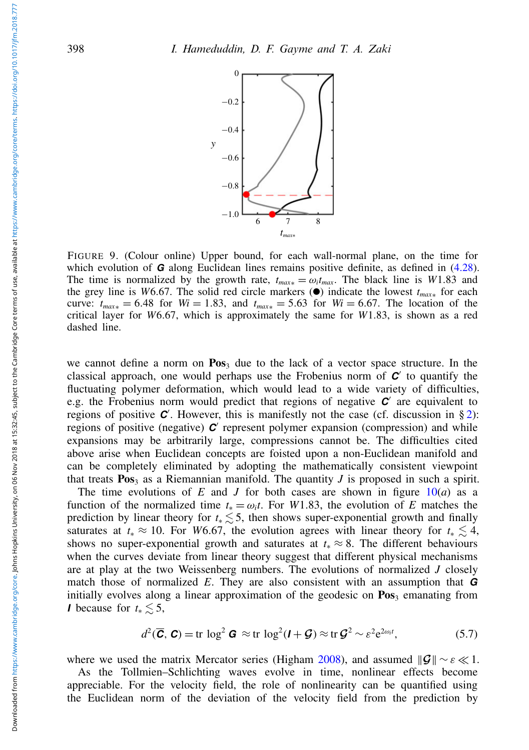<span id="page-21-0"></span>

FIGURE 9. (Colour online) Upper bound, for each wall-normal plane, on the time for which evolution of **G** along Euclidean lines remains positive definite, as defined in [\(4.28\)](#page-14-1). The time is normalized by the growth rate,  $t_{max} = \omega_i t_{max}$ . The black line is *W*1.83 and the grey line is *W*6.67. The solid red circle markers ( $\bullet$ ) indicate the lowest  $t_{max*}$  for each curve:  $t_{max} = 6.48$  for  $Wi = 1.83$ , and  $t_{max} = 5.63$  for  $Wi = 6.67$ . The location of the critical layer for *W*6.67, which is approximately the same for *W*1.83, is shown as a red dashed line.

we cannot define a norm on  $Pos_3$  due to the lack of a vector space structure. In the classical approach, one would perhaps use the Frobenius norm of  $C'$  to quantify the fluctuating polymer deformation, which would lead to a wide variety of difficulties, e.g. the Frobenius norm would predict that regions of negative  $C'$  are equivalent to regions of positive  $C'$ . However, this is manifestly not the case (cf. discussion in § [2\)](#page-3-0): regions of positive (negative)  $C$  represent polymer expansion (compression) and while expansions may be arbitrarily large, compressions cannot be. The difficulties cited above arise when Euclidean concepts are foisted upon a non-Euclidean manifold and can be completely eliminated by adopting the mathematically consistent viewpoint that treats  $Pos_3$  as a Riemannian manifold. The quantity *J* is proposed in such a spirit.

The time evolutions of *E* and *J* for both cases are shown in figure  $10(a)$  $10(a)$  as a function of the normalized time  $t_* = \omega_i t$ . For *W*1.83, the evolution of *E* matches the prediction by linear theory for  $t_* \lesssim 5$ , then shows super-exponential growth and finally saturates at  $t_* \approx 10$ . For *W*6.67, the evolution agrees with linear theory for  $t_* \lesssim 4$ , shows no super-exponential growth and saturates at *t*<sup>∗</sup> ≈ 8. The different behaviours when the curves deviate from linear theory suggest that different physical mechanisms are at play at the two Weissenberg numbers. The evolutions of normalized *J* closely match those of normalized *E*. They are also consistent with an assumption that *G* initially evolves along a linear approximation of the geodesic on  $Pos_3$  emanating from *I* because for  $t_* \leq 5$ ,

$$
d^2(\overline{\mathbf{C}}, \mathbf{C}) = \text{tr} \, \log^2 \mathbf{G} \approx \text{tr} \, \log^2(\mathbf{I} + \mathbf{G}) \approx \text{tr} \, \mathbf{G}^2 \sim \varepsilon^2 e^{2\omega_i t}, \tag{5.7}
$$

where we used the matrix Mercator series (Higham [2008\)](#page-29-21), and assumed  $||\mathcal{G}|| \sim \varepsilon \ll 1$ .

As the Tollmien–Schlichting waves evolve in time, nonlinear effects become appreciable. For the velocity field, the role of nonlinearity can be quantified using the Euclidean norm of the deviation of the velocity field from the prediction by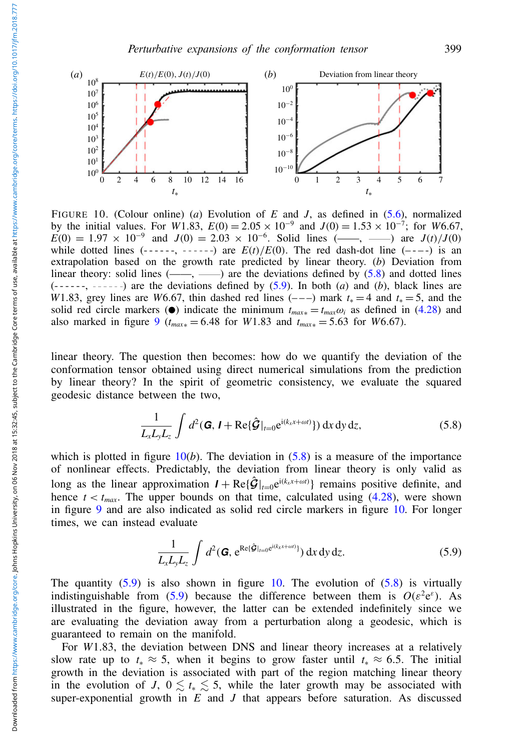<span id="page-22-0"></span>

FIGURE 10. (Colour online) (*a*) Evolution of *E* and *J*, as defined in [\(5.6\)](#page-20-2), normalized by the initial values. For *W*1.83,  $E(0) = 2.05 \times 10^{-9}$  and  $J(0) = 1.53 \times 10^{-7}$ ; for *W*6.67,  $E(0) = 1.97 \times 10^{-9}$  and  $J(0) = 2.03 \times 10^{-6}$ . Solid lines (——, ——) are  $J(t)/J(0)$ while dotted lines  $(-$ -----,  $-$ -----) are  $E(t)/E(0)$ . The red dash-dot line  $(-$ ---) is an extrapolation based on the growth rate predicted by linear theory. (*b*) Deviation from linear theory: solid lines  $(\_\_$ ,  $\_\_)$  are the deviations defined by  $(5.8)$  and dotted lines  $(-$ -----, -----) are the deviations defined by  $(5.9)$ . In both  $(a)$  and  $(b)$ , black lines are *W*1.83, grey lines are *W*6.67, thin dashed red lines (–––) mark  $t_* = 4$  and  $t_* = 5$ , and the solid red circle markers ( $\bullet$ ) indicate the minimum  $t_{max*} = t_{max} \omega_i$  as defined in [\(4.28\)](#page-14-1) and also marked in figure [9](#page-21-0) ( $t_{max*} = 6.48$  for *W*1.83 and  $t_{max*} = 5.63$  for *W*6.67).

linear theory. The question then becomes: how do we quantify the deviation of the conformation tensor obtained using direct numerical simulations from the prediction by linear theory? In the spirit of geometric consistency, we evaluate the squared geodesic distance between the two,

<span id="page-22-1"></span>
$$
\frac{1}{L_x L_y L_z} \int d^2(\mathbf{G}, \mathbf{I} + \text{Re}\{\hat{\mathbf{G}}|_{t=0} e^{i(k_x x + \omega t)}\}) \, dx \, dy \, dz,
$$
\n(5.8)

which is plotted in figure  $10(b)$  $10(b)$ . The deviation in  $(5.8)$  is a measure of the importance of nonlinear effects. Predictably, the deviation from linear theory is only valid as long as the linear approximation  $I + \text{Re}\{\hat{G}|_{t=0}e^{i(k_x x + \omega t)}\}$  remains positive definite, and hence  $t < t_{max}$ . The upper bounds on that time, calculated using [\(4.28\)](#page-14-1), were shown in figure [9](#page-21-0) and are also indicated as solid red circle markers in figure [10.](#page-22-0) For longer times, we can instead evaluate

<span id="page-22-2"></span>
$$
\frac{1}{L_x L_y L_z} \int d^2(\mathbf{G}, e^{Re\{\hat{\mathbf{G}}\}_{t=0} e^{i(k_x x + \omega t)}\}}) dx dy dz.
$$
 (5.9)

The quantity  $(5.9)$  is also shown in figure [10.](#page-22-0) The evolution of  $(5.8)$  is virtually indistinguishable from [\(5.9\)](#page-22-2) because the difference between them is  $O(\varepsilon^2 e^{\varepsilon})$ . As illustrated in the figure, however, the latter can be extended indefinitely since we are evaluating the deviation away from a perturbation along a geodesic, which is guaranteed to remain on the manifold.

For *W*1.83, the deviation between DNS and linear theory increases at a relatively slow rate up to  $t_* \approx 5$ , when it begins to grow faster until  $t_* \approx 6.5$ . The initial growth in the deviation is associated with part of the region matching linear theory in the evolution of *J*,  $0 \le t_* \le 5$ , while the later growth may be associated with super-exponential growth in *E* and *J* that appears before saturation. As discussed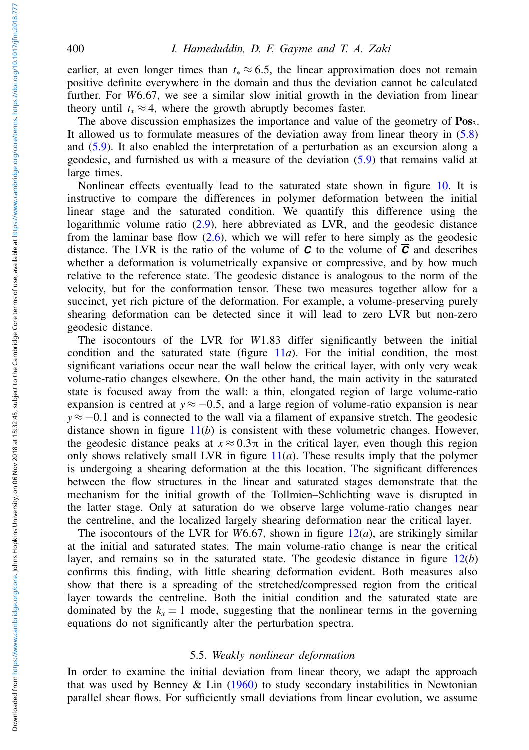earlier, at even longer times than  $t_* \approx 6.5$ , the linear approximation does not remain positive definite everywhere in the domain and thus the deviation cannot be calculated further. For *W*6.67, we see a similar slow initial growth in the deviation from linear theory until  $t_* \approx 4$ , where the growth abruptly becomes faster.

The above discussion emphasizes the importance and value of the geometry of  $Pos_3$ . It allowed us to formulate measures of the deviation away from linear theory in [\(5.8\)](#page-22-1) and [\(5.9\)](#page-22-2). It also enabled the interpretation of a perturbation as an excursion along a geodesic, and furnished us with a measure of the deviation [\(5.9\)](#page-22-2) that remains valid at large times.

Nonlinear effects eventually lead to the saturated state shown in figure [10.](#page-22-0) It is instructive to compare the differences in polymer deformation between the initial linear stage and the saturated condition. We quantify this difference using the logarithmic volume ratio [\(2.9\)](#page-5-2), here abbreviated as LVR, and the geodesic distance from the laminar base flow  $(2.6)$ , which we will refer to here simply as the geodesic distance. The LVR is the ratio of the volume of  $\overline{C}$  to the volume of  $\overline{C}$  and describes whether a deformation is volumetrically expansive or compressive, and by how much relative to the reference state. The geodesic distance is analogous to the norm of the velocity, but for the conformation tensor. These two measures together allow for a succinct, yet rich picture of the deformation. For example, a volume-preserving purely shearing deformation can be detected since it will lead to zero LVR but non-zero geodesic distance.

The isocontours of the LVR for *W*1.83 differ significantly between the initial condition and the saturated state (figure  $1/a$ ). For the initial condition, the most significant variations occur near the wall below the critical layer, with only very weak volume-ratio changes elsewhere. On the other hand, the main activity in the saturated state is focused away from the wall: a thin, elongated region of large volume-ratio expansion is centred at  $y \approx -0.5$ , and a large region of volume-ratio expansion is near *y*≈ −0.1 and is connected to the wall via a filament of expansive stretch. The geodesic distance shown in figure  $11(b)$  $11(b)$  is consistent with these volumetric changes. However, the geodesic distance peaks at  $x \approx 0.3\pi$  in the critical layer, even though this region only shows relatively small LVR in figure  $11(a)$  $11(a)$ . These results imply that the polymer is undergoing a shearing deformation at the this location. The significant differences between the flow structures in the linear and saturated stages demonstrate that the mechanism for the initial growth of the Tollmien–Schlichting wave is disrupted in the latter stage. Only at saturation do we observe large volume-ratio changes near the centreline, and the localized largely shearing deformation near the critical layer.

The isocontours of the LVR for *W*6.67, shown in figure  $12(a)$  $12(a)$ , are strikingly similar at the initial and saturated states. The main volume-ratio change is near the critical layer, and remains so in the saturated state. The geodesic distance in figure [12\(](#page-25-1)*b*) confirms this finding, with little shearing deformation evident. Both measures also show that there is a spreading of the stretched/compressed region from the critical layer towards the centreline. Both the initial condition and the saturated state are dominated by the  $k<sub>x</sub> = 1$  mode, suggesting that the nonlinear terms in the governing equations do not significantly alter the perturbation spectra.

#### 5.5. *Weakly nonlinear deformation*

In order to examine the initial deviation from linear theory, we adapt the approach that was used by Benney  $\&$  Lin [\(1960\)](#page-28-10) to study secondary instabilities in Newtonian parallel shear flows. For sufficiently small deviations from linear evolution, we assume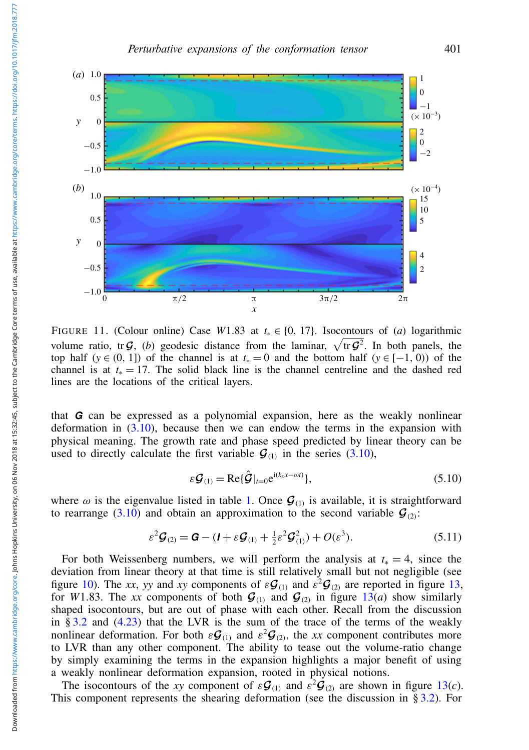<span id="page-24-0"></span>

FIGURE 11. (Colour online) Case *W*1.83 at  $t_* \in \{0, 17\}$ . Isocontours of (*a*) logarithmic volume ratio, tr G, (b) geodesic distance from the laminar,  $\sqrt{\text{tr} \mathcal{G}^2}$ . In both panels, the top half ( $y \in (0, 1]$ ) of the channel is at  $t<sub>*</sub> = 0$  and the bottom half ( $y \in [-1, 0)$ ) of the channel is at  $t_* = 17$ . The solid black line is the channel centreline and the dashed red lines are the locations of the critical layers.

that *G* can be expressed as a polynomial expansion, here as the weakly nonlinear deformation in  $(3.10)$ , because then we can endow the terms in the expansion with physical meaning. The growth rate and phase speed predicted by linear theory can be used to directly calculate the first variable  $\mathcal{G}_{(1)}$  in the series [\(3.10\)](#page-7-2),

$$
\varepsilon \mathcal{G}_{(1)} = \text{Re}\{\hat{\mathcal{G}}|_{t=0} e^{i(k_x x - \omega t)}\},\tag{5.10}
$$

where  $\omega$  is the eigenvalue listed in table [1.](#page-16-1) Once  $\mathcal{G}_{(1)}$  is available, it is straightforward to rearrange [\(3.10\)](#page-7-2) and obtain an approximation to the second variable  $\mathcal{G}_{(2)}$ :

$$
\varepsilon^2 \mathcal{G}_{(2)} = \mathbf{G} - (\mathbf{I} + \varepsilon \mathcal{G}_{(1)} + \frac{1}{2} \varepsilon^2 \mathcal{G}_{(1)}^2) + O(\varepsilon^3). \tag{5.11}
$$

For both Weissenberg numbers, we will perform the analysis at  $t<sub>∗</sub> = 4$ , since the deviation from linear theory at that time is still relatively small but not negligible (see figure [10\)](#page-22-0). The *xx*, *yy* and *xy* components of  $\varepsilon \mathcal{G}_{(1)}$  and  $\varepsilon^2 \mathcal{G}_{(2)}$  are reported in figure [13,](#page-26-0) for *W*1.83. The *xx* components of both  $\mathcal{G}_{(1)}$  and  $\mathcal{G}_{(2)}$  in figure [13\(](#page-26-0)*a*) show similarly shaped isocontours, but are out of phase with each other. Recall from the discussion in § [3.2](#page-6-3) and  $(4.23)$  that the LVR is the sum of the trace of the terms of the weakly nonlinear deformation. For both  $\epsilon \mathcal{G}_{(1)}$  and  $\epsilon^2 \mathcal{G}_{(2)}$ , the *xx* component contributes more to LVR than any other component. The ability to tease out the volume-ratio change by simply examining the terms in the expansion highlights a major benefit of using a weakly nonlinear deformation expansion, rooted in physical notions.

The isocontours of the *xy* component of  $\epsilon \mathcal{G}_{(1)}$  and  $\epsilon^2 \mathcal{G}_{(2)}$  are shown in figure [13\(](#page-26-0)*c*). This component represents the shearing deformation (see the discussion in  $\S 3.2$ ). For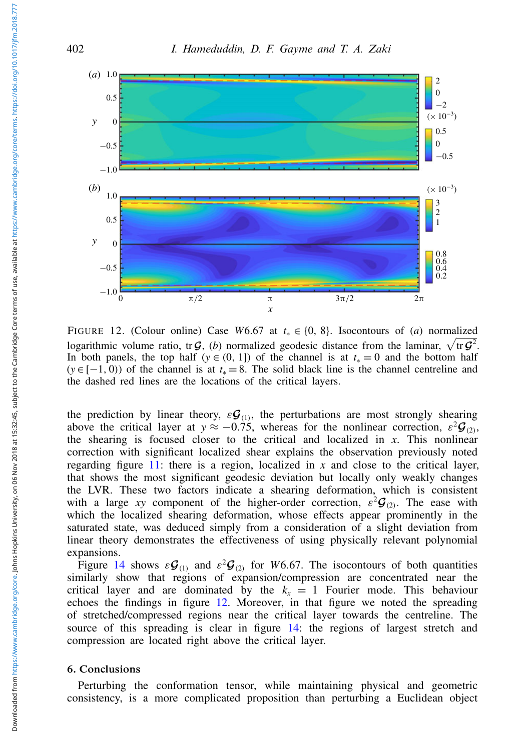<span id="page-25-1"></span>

FIGURE 12. (Colour online) Case *W*6.67 at *t*<sup>∗</sup> ∈ {0, 8}. Isocontours of (*a*) normalized logarithmic volume ratio, tr  $\mathcal{G}$ , (*b*) normalized geodesic distance from the laminar,  $\sqrt{\text{tr}\,\mathcal{G}^2}$ . In both panels, the top half ( $y \in (0, 1]$ ) of the channel is at  $t<sub>*</sub> = 0$  and the bottom half (*y* ∈ [−1, 0)) of the channel is at *t*<sup>∗</sup> = 8. The solid black line is the channel centreline and the dashed red lines are the locations of the critical layers.

the prediction by linear theory,  $\epsilon \mathcal{G}_{(1)}$ , the perturbations are most strongly shearing above the critical layer at  $y \approx -0.75$ , whereas for the nonlinear correction,  $\varepsilon^2 \mathcal{G}_{(2)}$ , the shearing is focused closer to the critical and localized in  $x$ . This nonlinear correction with significant localized shear explains the observation previously noted regarding figure  $11$ : there is a region, localized in x and close to the critical layer, that shows the most significant geodesic deviation but locally only weakly changes the LVR. These two factors indicate a shearing deformation, which is consistent with a large *xy* component of the higher-order correction,  $\varepsilon^2 \mathcal{G}_{(2)}$ . The ease with which the localized shearing deformation, whose effects appear prominently in the saturated state, was deduced simply from a consideration of a slight deviation from linear theory demonstrates the effectiveness of using physically relevant polynomial expansions.

Figure [14](#page-27-0) shows  $\epsilon \mathcal{G}_{(1)}$  and  $\epsilon^2 \mathcal{G}_{(2)}$  for *W*6.67. The isocontours of both quantities similarly show that regions of expansion/compression are concentrated near the critical layer and are dominated by the  $k_x = 1$  Fourier mode. This behaviour echoes the findings in figure [12.](#page-25-1) Moreover, in that figure we noted the spreading of stretched/compressed regions near the critical layer towards the centreline. The source of this spreading is clear in figure [14:](#page-27-0) the regions of largest stretch and compression are located right above the critical layer.

## <span id="page-25-0"></span>6. Conclusions

Perturbing the conformation tensor, while maintaining physical and geometric consistency, is a more complicated proposition than perturbing a Euclidean object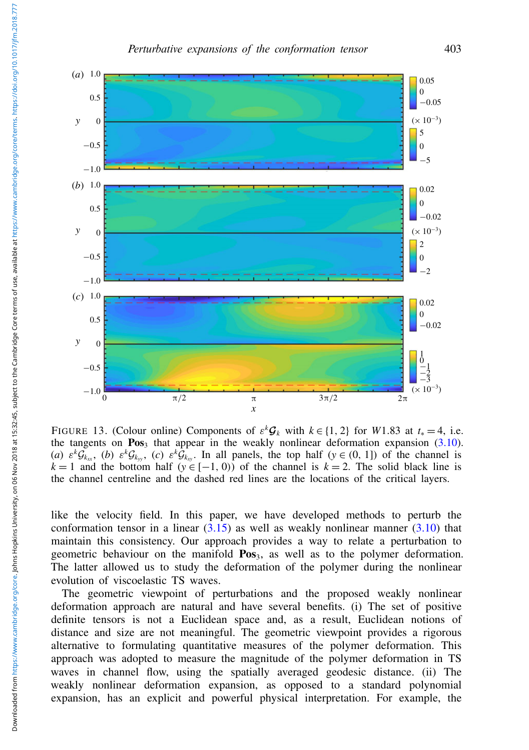<span id="page-26-0"></span>

FIGURE 13. (Colour online) Components of  $\varepsilon^{k}\mathcal{G}_{k}$  with  $k \in \{1, 2\}$  for *W*1.83 at  $t_{*} = 4$ , i.e. the tangents on  $Pos_3$  that appear in the weakly nonlinear deformation expansion  $(3.10)$ . (*a*)  $\varepsilon^{k}\mathcal{G}_{k_{xx}}$ , (*b*)  $\varepsilon^{k}\mathcal{G}_{k_{yy}}$ , (*c*)  $\varepsilon^{k}\mathcal{G}_{k_{xy}}$ . In all panels, the top half (*y*  $\in$  (0, 1]) of the channel is  $k = 1$  and the bottom half ( $y \in [-1, 0)$ ) of the channel is  $k = 2$ . The solid black line is the channel centreline and the dashed red lines are the locations of the critical layers.

like the velocity field. In this paper, we have developed methods to perturb the conformation tensor in a linear  $(3.15)$  as well as weakly nonlinear manner  $(3.10)$  that maintain this consistency. Our approach provides a way to relate a perturbation to geometric behaviour on the manifold  $Pos_3$ , as well as to the polymer deformation. The latter allowed us to study the deformation of the polymer during the nonlinear evolution of viscoelastic TS waves.

The geometric viewpoint of perturbations and the proposed weakly nonlinear deformation approach are natural and have several benefits. (i) The set of positive definite tensors is not a Euclidean space and, as a result, Euclidean notions of distance and size are not meaningful. The geometric viewpoint provides a rigorous alternative to formulating quantitative measures of the polymer deformation. This approach was adopted to measure the magnitude of the polymer deformation in TS waves in channel flow, using the spatially averaged geodesic distance. (ii) The weakly nonlinear deformation expansion, as opposed to a standard polynomial expansion, has an explicit and powerful physical interpretation. For example, the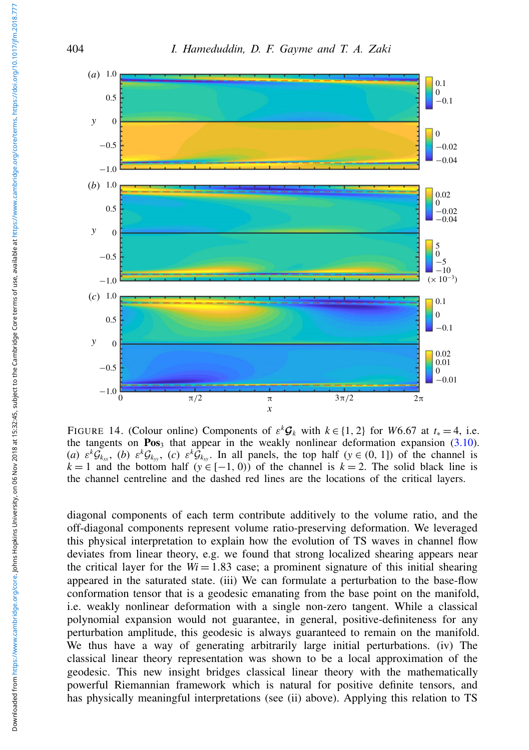<span id="page-27-0"></span>

FIGURE 14. (Colour online) Components of  $\varepsilon^{k}\mathcal{G}_{k}$  with  $k \in \{1, 2\}$  for *W*6.67 at  $t_{*} = 4$ , i.e. the tangents on  $Pos_3$  that appear in the weakly nonlinear deformation expansion  $(3.10)$ . (*a*)  $\varepsilon^{k}\mathcal{G}_{k_{xx}}$ , (*b*)  $\varepsilon^{k}\mathcal{G}_{k_{yy}}$ , (*c*)  $\varepsilon^{k}\mathcal{G}_{k_{xy}}$ . In all panels, the top half (*y*  $\in$  (0, 1]) of the channel is  $k = 1$  and the bottom half ( $y \in [-1, 0)$ ) of the channel is  $k = 2$ . The solid black line is the channel centreline and the dashed red lines are the locations of the critical layers.

diagonal components of each term contribute additively to the volume ratio, and the off-diagonal components represent volume ratio-preserving deformation. We leveraged this physical interpretation to explain how the evolution of TS waves in channel flow deviates from linear theory, e.g. we found that strong localized shearing appears near the critical layer for the  $Wi = 1.83$  case; a prominent signature of this initial shearing appeared in the saturated state. (iii) We can formulate a perturbation to the base-flow conformation tensor that is a geodesic emanating from the base point on the manifold, i.e. weakly nonlinear deformation with a single non-zero tangent. While a classical polynomial expansion would not guarantee, in general, positive-definiteness for any perturbation amplitude, this geodesic is always guaranteed to remain on the manifold. We thus have a way of generating arbitrarily large initial perturbations. (iv) The classical linear theory representation was shown to be a local approximation of the geodesic. This new insight bridges classical linear theory with the mathematically powerful Riemannian framework which is natural for positive definite tensors, and has physically meaningful interpretations (see (ii) above). Applying this relation to TS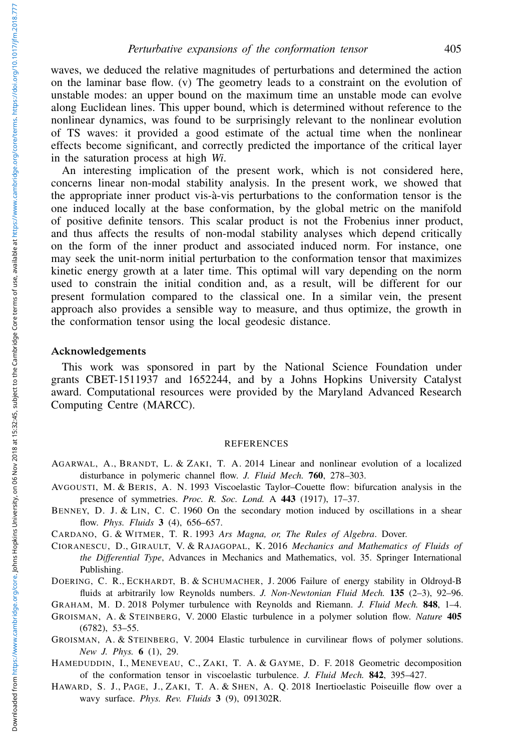waves, we deduced the relative magnitudes of perturbations and determined the action on the laminar base flow. (v) The geometry leads to a constraint on the evolution of unstable modes: an upper bound on the maximum time an unstable mode can evolve along Euclidean lines. This upper bound, which is determined without reference to the nonlinear dynamics, was found to be surprisingly relevant to the nonlinear evolution of TS waves: it provided a good estimate of the actual time when the nonlinear effects become significant, and correctly predicted the importance of the critical layer in the saturation process at high *Wi*.

An interesting implication of the present work, which is not considered here, concerns linear non-modal stability analysis. In the present work, we showed that the appropriate inner product vis-à-vis perturbations to the conformation tensor is the one induced locally at the base conformation, by the global metric on the manifold of positive definite tensors. This scalar product is not the Frobenius inner product, and thus affects the results of non-modal stability analyses which depend critically on the form of the inner product and associated induced norm. For instance, one may seek the unit-norm initial perturbation to the conformation tensor that maximizes kinetic energy growth at a later time. This optimal will vary depending on the norm used to constrain the initial condition and, as a result, will be different for our present formulation compared to the classical one. In a similar vein, the present approach also provides a sensible way to measure, and thus optimize, the growth in the conformation tensor using the local geodesic distance.

#### Acknowledgements

This work was sponsored in part by the National Science Foundation under grants CBET-1511937 and 1652244, and by a Johns Hopkins University Catalyst award. Computational resources were provided by the Maryland Advanced Research Computing Centre (MARCC).

#### **REFERENCES**

- <span id="page-28-8"></span>AGARWAL, A., BRANDT, L. & ZAKI, T. A. 2014 Linear and nonlinear evolution of a localized disturbance in polymeric channel flow. *J. Fluid Mech.* 760, 278–303.
- <span id="page-28-2"></span>AVGOUSTI, M. & BERIS, A. N. 1993 Viscoelastic Taylor–Couette flow: bifurcation analysis in the presence of symmetries. *Proc. R. Soc. Lond.* A 443 (1917), 17–37.
- <span id="page-28-10"></span>BENNEY, D. J. & LIN, C. C. 1960 On the secondary motion induced by oscillations in a shear flow. *Phys. Fluids* 3 (4), 656–657.
- <span id="page-28-9"></span>CARDANO, G. & WITMER, T. R. 1993 *Ars Magna, or, The Rules of Algebra*. Dover.
- <span id="page-28-7"></span>CIORANESCU, D., GIRAULT, V. & RAJAGOPAL, K. 2016 *Mechanics and Mathematics of Fluids of the Differential Type*, Advances in Mechanics and Mathematics, vol. 35. Springer International Publishing.
- <span id="page-28-3"></span>DOERING, C. R., ECKHARDT, B. & SCHUMACHER, J. 2006 Failure of energy stability in Oldroyd-B fluids at arbitrarily low Reynolds numbers. *J. Non-Newtonian Fluid Mech.* 135 (2–3), 92–96.
- <span id="page-28-6"></span>GRAHAM, M. D. 2018 Polymer turbulence with Reynolds and Riemann. *J. Fluid Mech.* 848, 1–4.
- <span id="page-28-0"></span>GROISMAN, A. & STEINBERG, V. 2000 Elastic turbulence in a polymer solution flow. *Nature* 405 (6782), 53–55.
- <span id="page-28-1"></span>GROISMAN, A. & STEINBERG, V. 2004 Elastic turbulence in curvilinear flows of polymer solutions. *New J. Phys.* 6 (1), 29.
- <span id="page-28-5"></span>HAMEDUDDIN, I., MENEVEAU, C., ZAKI, T. A. & GAYME, D. F. 2018 Geometric decomposition of the conformation tensor in viscoelastic turbulence. *J. Fluid Mech.* 842, 395–427.
- <span id="page-28-4"></span>HAWARD, S. J., PAGE, J., ZAKI, T. A. & SHEN, A. Q. 2018 Inertioelastic Poiseuille flow over a wavy surface. *Phys. Rev. Fluids* 3 (9), 091302R.